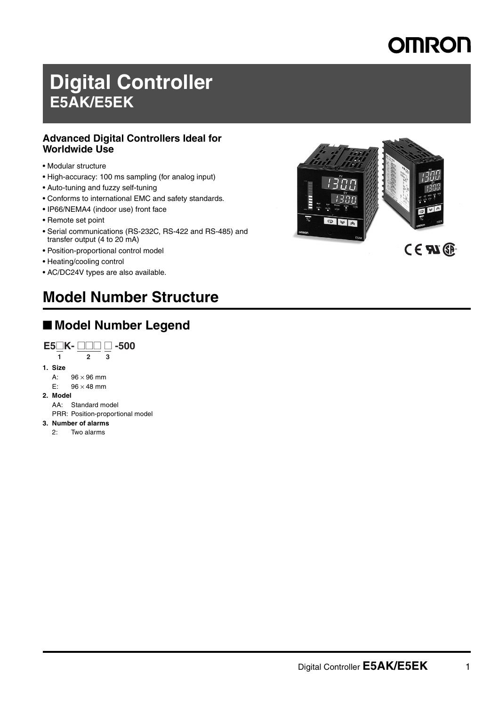# **Digital Controller E5AK/E5EK**

## **Advanced Digital Controllers Ideal for Worldwide Use**

- Modular structure
- High-accuracy: 100 ms sampling (for analog input)
- Auto-tuning and fuzzy self-tuning
- Conforms to international EMC and safety standards.
- IP66/NEMA4 (indoor use) front face
- Remote set point
- Serial communications (RS-232C, RS-422 and RS-485) and transfer output (4 to 20 mA)
- Position-proportional control model
- Heating/cooling control
- AC/DC24V types are also available.

# **Model Number Structure**

## ■ **Model Number Legend**



- **3. Number of alarms**
	- 2: Two alarms

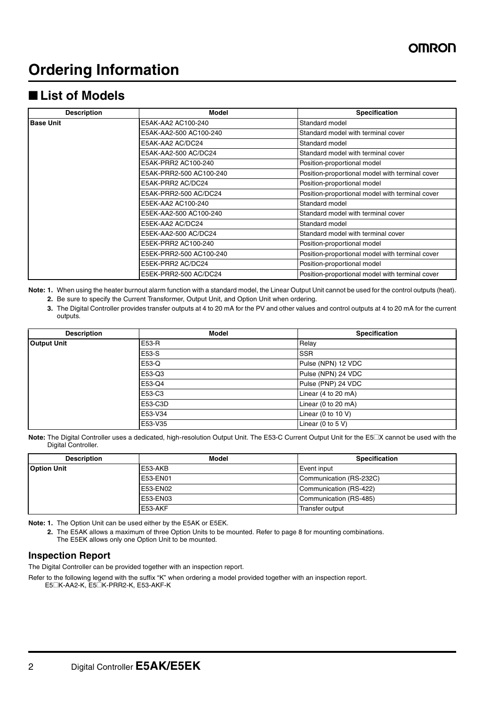## ■ List of Models

| <b>Description</b> | <b>Model</b>            | <b>Specification</b>                            |
|--------------------|-------------------------|-------------------------------------------------|
| <b>Base Unit</b>   | E5AK-AA2 AC100-240      | Standard model                                  |
|                    | E5AK-AA2-500 AC100-240  | Standard model with terminal cover              |
|                    | E5AK-AA2 AC/DC24        | Standard model                                  |
|                    | E5AK-AA2-500 AC/DC24    | Standard model with terminal cover              |
|                    | E5AK-PRR2 AC100-240     | Position-proportional model                     |
|                    | E5AK-PRR2-500 AC100-240 | Position-proportional model with terminal cover |
|                    | E5AK-PRR2 AC/DC24       | Position-proportional model                     |
|                    | E5AK-PRR2-500 AC/DC24   | Position-proportional model with terminal cover |
|                    | E5EK-AA2 AC100-240      | Standard model                                  |
|                    | E5EK-AA2-500 AC100-240  | Standard model with terminal cover              |
|                    | E5EK-AA2 AC/DC24        | Standard model                                  |
|                    | E5EK-AA2-500 AC/DC24    | Standard model with terminal cover              |
|                    | E5EK-PRR2 AC100-240     | Position-proportional model                     |
|                    | E5EK-PRR2-500 AC100-240 | Position-proportional model with terminal cover |
|                    | E5EK-PRR2 AC/DC24       | Position-proportional model                     |
|                    | E5EK-PRR2-500 AC/DC24   | Position-proportional model with terminal cover |

**Note: 1.** When using the heater burnout alarm function with a standard model, the Linear Output Unit cannot be used for the control outputs (heat).

- **2.** Be sure to specify the Current Transformer, Output Unit, and Option Unit when ordering.
- **3.** The Digital Controller provides transfer outputs at 4 to 20 mA for the PV and other values and control outputs at 4 to 20 mA for the current outputs.

| <b>Description</b> | <b>Model</b> | <b>Specification</b>                 |
|--------------------|--------------|--------------------------------------|
| <b>Output Unit</b> | E53-R        | Relay                                |
|                    | E53-S        | <b>SSR</b>                           |
|                    | E53-Q        | Pulse (NPN) 12 VDC                   |
|                    | E53-Q3       | Pulse (NPN) 24 VDC                   |
|                    | E53-Q4       | Pulse (PNP) 24 VDC                   |
|                    | E53-C3       | Linear (4 to 20 mA)                  |
|                    | E53-C3D      | Linear (0 to 20 mA)                  |
|                    | E53-V34      | Linear (0 to 10 V)                   |
|                    | E53-V35      | Linear $(0 \text{ to } 5 \text{ V})$ |

Note: The Digital Controller uses a dedicated, high-resolution Output Unit. The E53-C Current Output Unit for the E5<sup>1</sup>X cannot be used with the Digital Controller.

| <b>Description</b> | Model    | <b>Specification</b>    |
|--------------------|----------|-------------------------|
| <b>Option Unit</b> | E53-AKB  | l Event input           |
|                    | E53-EN01 | Communication (RS-232C) |
|                    | E53-EN02 | Communication (RS-422)  |
|                    | E53-EN03 | Communication (RS-485)  |
|                    | E53-AKF  | Transfer output         |

**Note: 1.** The Option Unit can be used either by the E5AK or E5EK.

**2.** The E5AK allows a maximum of three Option Units to be mounted. Refer to [page 8](#page-7-0) for mounting combinations. The E5EK allows only one Option Unit to be mounted.

## **Inspection Report**

The Digital Controller can be provided together with an inspection report.

Refer to the following legend with the suffix "K" when ordering a model provided together with an inspection report. E5@K-AA2-K, E5@K-PRR2-K, E53-AKF-K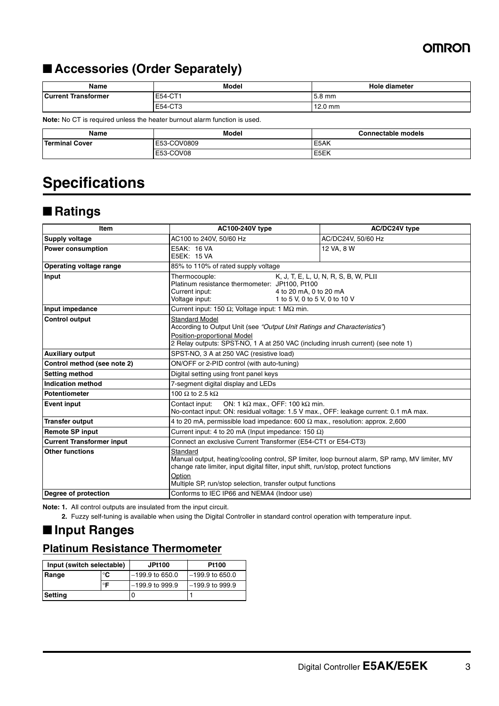## ■ **Accessories (Order Separately)**

| Name                       | <b>Model</b>         | <b>Hole diameter</b> |
|----------------------------|----------------------|----------------------|
| <b>Current Transformer</b> | E54-CT1              | $5.8$ mm             |
|                            | $\sim$ To<br>E54-CT3 | $12.0 \text{ mm}$    |

**Note:** No CT is required unless the heater burnout alarm function is used.

| Name                  | <b>Model</b> | Connectable models |
|-----------------------|--------------|--------------------|
| <b>Terminal Cover</b> | E53-COV0809  | <b>E5AK</b>        |
|                       | E53-COV08    | E5EK               |

# **Specifications**

## ■ **Ratings**

| Item                             | <b>AC100-240V type</b>                                                                                                                                                                                                                                                     | AC/DC24V type                                                                                                                                                |  |  |  |  |  |
|----------------------------------|----------------------------------------------------------------------------------------------------------------------------------------------------------------------------------------------------------------------------------------------------------------------------|--------------------------------------------------------------------------------------------------------------------------------------------------------------|--|--|--|--|--|
| <b>Supply voltage</b>            | AC100 to 240V, 50/60 Hz                                                                                                                                                                                                                                                    | AC/DC24V, 50/60 Hz                                                                                                                                           |  |  |  |  |  |
| <b>Power consumption</b>         | E5AK: 16 VA<br>E5EK: 15 VA                                                                                                                                                                                                                                                 | 12 VA, 8 W                                                                                                                                                   |  |  |  |  |  |
| Operating voltage range          | 85% to 110% of rated supply voltage                                                                                                                                                                                                                                        |                                                                                                                                                              |  |  |  |  |  |
| Input                            | Thermocouple:<br>Platinum resistance thermometer: JPt100, Pt100<br>Current input:<br>4 to 20 mA, 0 to 20 mA<br>1 to 5 V, 0 to 5 V, 0 to 10 V<br>Voltage input:                                                                                                             | K, J, T, E, L, U, N, R, S, B, W, PLII                                                                                                                        |  |  |  |  |  |
| Input impedance                  | Current input: 150 $\Omega$ ; Voltage input: 1 M $\Omega$ min.                                                                                                                                                                                                             |                                                                                                                                                              |  |  |  |  |  |
| <b>Control output</b>            | Standard Model<br>Position-proportional Model                                                                                                                                                                                                                              | According to Output Unit (see "Output Unit Ratings and Characteristics")<br>2 Relay outputs: SPST-NO, 1 A at 250 VAC (including inrush current) (see note 1) |  |  |  |  |  |
| <b>Auxiliary output</b>          | SPST-NO, 3 A at 250 VAC (resistive load)                                                                                                                                                                                                                                   |                                                                                                                                                              |  |  |  |  |  |
| Control method (see note 2)      | ON/OFF or 2-PID control (with auto-tuning)                                                                                                                                                                                                                                 |                                                                                                                                                              |  |  |  |  |  |
| <b>Setting method</b>            | Digital setting using front panel keys                                                                                                                                                                                                                                     |                                                                                                                                                              |  |  |  |  |  |
| Indication method                | 7-segment digital display and LEDs                                                                                                                                                                                                                                         |                                                                                                                                                              |  |  |  |  |  |
| Potentiometer                    | 100 $\Omega$ to 2.5 k $\Omega$                                                                                                                                                                                                                                             |                                                                                                                                                              |  |  |  |  |  |
| <b>Event input</b>               | Contact input:<br>ON: 1 k $\Omega$ max OFF: 100 k $\Omega$ min.<br>No-contact input: ON: residual voltage: 1.5 V max., OFF: leakage current: 0.1 mA max.                                                                                                                   |                                                                                                                                                              |  |  |  |  |  |
| <b>Transfer output</b>           | 4 to 20 mA, permissible load impedance: 600 $\Omega$ max., resolution: approx. 2,600                                                                                                                                                                                       |                                                                                                                                                              |  |  |  |  |  |
| <b>Remote SP input</b>           |                                                                                                                                                                                                                                                                            | Current input: 4 to 20 mA (Input impedance: 150 $\Omega$ )                                                                                                   |  |  |  |  |  |
| <b>Current Transformer input</b> | Connect an exclusive Current Transformer (E54-CT1 or E54-CT3)                                                                                                                                                                                                              |                                                                                                                                                              |  |  |  |  |  |
| <b>Other functions</b>           | Standard<br>Manual output, heating/cooling control, SP limiter, loop burnout alarm, SP ramp, MV limiter, MV<br>change rate limiter, input digital filter, input shift, run/stop, protect functions<br>Option<br>Multiple SP, run/stop selection, transfer output functions |                                                                                                                                                              |  |  |  |  |  |
| Degree of protection             | Conforms to IEC IP66 and NEMA4 (Indoor use)                                                                                                                                                                                                                                |                                                                                                                                                              |  |  |  |  |  |

**Note: 1.** All control outputs are insulated from the input circuit.

**2.** Fuzzy self-tuning is available when using the Digital Controller in standard control operation with temperature input.

## ■ **Input Ranges**

## **Platinum Resistance Thermometer**

| Input (switch selectable) |           | <b>JPt100</b>     | <b>Pt100</b>      |  |
|---------------------------|-----------|-------------------|-------------------|--|
| °C<br>Range               |           | $-199.9$ to 650.0 | $-199.9$ to 650.0 |  |
|                           | $\circ$ F | $-199.9$ to 999.9 | $-199.9$ to 999.9 |  |
| <b>Setting</b>            |           |                   |                   |  |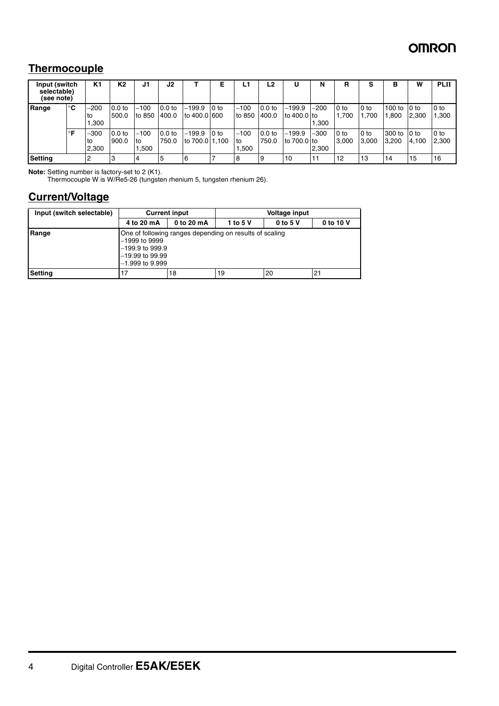## **Thermocouple**

| Input (switch<br>selectable)<br>(see note) |           | K <sub>1</sub>          | K <sub>2</sub>             | J1                    | J <sub>2</sub>             |                            |      | L1                      | L <sub>2</sub>             |                           | N               | R             | c<br>Ð        | в               | W                | <b>PLII</b>     |
|--------------------------------------------|-----------|-------------------------|----------------------------|-----------------------|----------------------------|----------------------------|------|-------------------------|----------------------------|---------------------------|-----------------|---------------|---------------|-----------------|------------------|-----------------|
| Range                                      | $\circ$ C | $-200$<br>l to<br>1.300 | 0.0 <sub>to</sub><br>500.0 | $-100$<br>to 850      | 0.0 <sub>to</sub><br>400.0 | $-199.9$<br>to 400.01600   | 0 to | $-100$<br>to 850        | 0.0 <sub>to</sub><br>400.0 | $-199.9$<br>to $400.0$ to | $-200$<br>1.300 | 0 to<br>1.700 | 0 to<br>1.700 | 100 to<br>,800  | l 0 to<br>2.300  | 0 to<br>1,300   |
|                                            | ∘⊏        | $-300$<br>l to<br>2,300 | 0.0 <sub>to</sub><br>900.0 | $-100$<br>to<br>1.500 | 0.0 <sub>to</sub><br>750.0 | $-199.9$<br>to 700.0 1,100 | 0 to | $-100$<br>l to<br>1.500 | 0.0 <sub>to</sub><br>750.0 | $-199.9$<br>lto 700.0 lto | $-300$<br>2,300 | 0 to<br>3.000 | 0 to<br>3,000 | 300 to<br>3.200 | $10$ to<br>4.100 | l 0 to<br>2.300 |
| <b>Setting</b>                             |           | 2                       |                            |                       |                            | 6                          |      | 8                       |                            | 10                        | 11              | 12            | 13            | 14              | 15               | 16              |

**Note:** Setting number is factory-set to 2 (K1).

Thermocouple W is W/Re5-26 (tungsten rhenium 5, tungsten rhenium 26).

## **Current/Voltage**

| Input (switch selectable) |                                                                                | <b>Current input</b>                                    | <b>Voltage input</b> |          |           |  |
|---------------------------|--------------------------------------------------------------------------------|---------------------------------------------------------|----------------------|----------|-----------|--|
|                           | 4 to 20 mA                                                                     | 0 to 20 mA                                              | 1 to 5 V             | 0 to 5 V | 0 to 10 V |  |
| Range                     | $-1999$ to 9999<br>$-199.9$ to 999.9<br>$-19.99$ to 99.99<br>$-1.999$ to 9.999 | One of following ranges depending on results of scaling |                      |          |           |  |
| <b>Setting</b>            |                                                                                | 18                                                      | 19                   | 20       | 21        |  |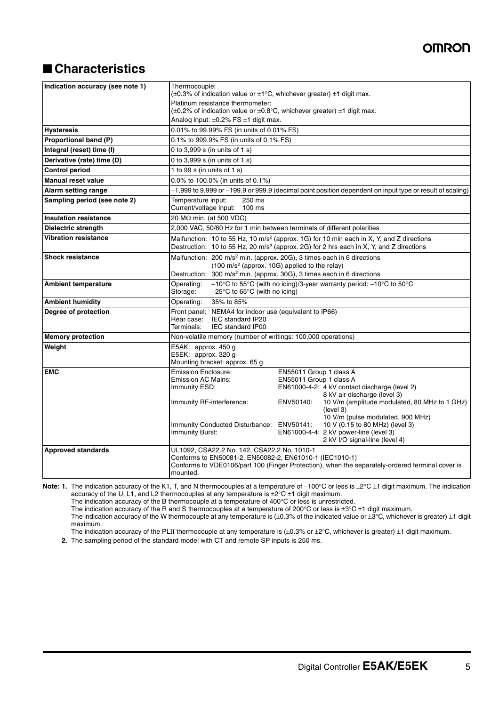## ■ **Characteristics**

| Indication accuracy (see note 1) | Thermocouple:                                                                                                                                                                                                                                                                                                                                                                                                                                                                                             |  |  |  |  |  |
|----------------------------------|-----------------------------------------------------------------------------------------------------------------------------------------------------------------------------------------------------------------------------------------------------------------------------------------------------------------------------------------------------------------------------------------------------------------------------------------------------------------------------------------------------------|--|--|--|--|--|
|                                  | ( $\pm$ 0.3% of indication value or $\pm$ 1°C, whichever greater) $\pm$ 1 digit max.<br>Platinum resistance thermometer:                                                                                                                                                                                                                                                                                                                                                                                  |  |  |  |  |  |
|                                  | $(\pm 0.2\%$ of indication value or $\pm 0.8\degree$ C, whichever greater) $\pm 1$ digit max.                                                                                                                                                                                                                                                                                                                                                                                                             |  |  |  |  |  |
|                                  | Analog input: $\pm 0.2\%$ FS $\pm 1$ digit max.                                                                                                                                                                                                                                                                                                                                                                                                                                                           |  |  |  |  |  |
| <b>Hysteresis</b>                | 0.01% to 99.99% FS (in units of 0.01% FS)                                                                                                                                                                                                                                                                                                                                                                                                                                                                 |  |  |  |  |  |
| Proportional band (P)            | 0.1% to 999.9% FS (in units of 0.1% FS)                                                                                                                                                                                                                                                                                                                                                                                                                                                                   |  |  |  |  |  |
| Integral (reset) time (I)        | 0 to 3,999 s (in units of 1 s)                                                                                                                                                                                                                                                                                                                                                                                                                                                                            |  |  |  |  |  |
| Derivative (rate) time (D)       | 0 to 3,999 s (in units of 1 s)                                                                                                                                                                                                                                                                                                                                                                                                                                                                            |  |  |  |  |  |
| <b>Control period</b>            | 1 to 99 s (in units of 1 s)                                                                                                                                                                                                                                                                                                                                                                                                                                                                               |  |  |  |  |  |
| <b>Manual reset value</b>        | 0.0% to 100.0% (in units of 0.1%)                                                                                                                                                                                                                                                                                                                                                                                                                                                                         |  |  |  |  |  |
| Alarm setting range              | -1,999 to 9,999 or -199.9 or 999.9 (decimal point position dependent on input type or result of scaling)                                                                                                                                                                                                                                                                                                                                                                                                  |  |  |  |  |  |
| Sampling period (see note 2)     | Temperature input:<br>250 ms<br>100 ms<br>Current/voltage input:                                                                                                                                                                                                                                                                                                                                                                                                                                          |  |  |  |  |  |
| <b>Insulation resistance</b>     | 20 MΩ min. (at 500 VDC)                                                                                                                                                                                                                                                                                                                                                                                                                                                                                   |  |  |  |  |  |
| Dielectric strength              | 2,000 VAC, 50/60 Hz for 1 min between terminals of different polarities                                                                                                                                                                                                                                                                                                                                                                                                                                   |  |  |  |  |  |
| <b>Vibration resistance</b>      | Malfunction: 10 to 55 Hz, 10 m/s <sup>2</sup> (approx. 1G) for 10 min each in X, Y, and Z directions<br>Destruction: 10 to 55 Hz, 20 m/s <sup>2</sup> (approx. 2G) for 2 hrs each in X, Y, and Z directions                                                                                                                                                                                                                                                                                               |  |  |  |  |  |
| <b>Shock resistance</b>          | Malfunction: 200 m/s <sup>2</sup> min. (approx. 20G), 3 times each in 6 directions<br>(100 m/s <sup>2</sup> (approx. 10G) applied to the relay)<br>Destruction: 300 m/s <sup>2</sup> min. (approx. 30G), 3 times each in 6 directions                                                                                                                                                                                                                                                                     |  |  |  |  |  |
| <b>Ambient temperature</b>       | -10°C to 55°C (with no icing)/3-year warranty period: -10°C to 50°C<br>Operating:<br>Storage:<br>$-25^{\circ}$ C to 65 $^{\circ}$ C (with no icing)                                                                                                                                                                                                                                                                                                                                                       |  |  |  |  |  |
| <b>Ambient humidity</b>          | 35% to 85%<br>Operating:                                                                                                                                                                                                                                                                                                                                                                                                                                                                                  |  |  |  |  |  |
| Degree of protection             | Front panel: NEMA4 for indoor use (equivalent to IP66)<br>Rear case:<br>IEC standard IP20<br>Terminals:<br><b>IEC standard IP00</b>                                                                                                                                                                                                                                                                                                                                                                       |  |  |  |  |  |
| <b>Memory protection</b>         | Non-volatile memory (number of writings: 100,000 operations)                                                                                                                                                                                                                                                                                                                                                                                                                                              |  |  |  |  |  |
| Weight                           | E5AK: approx. 450 g<br>E5EK: approx. 320 g<br>Mounting bracket: approx. 65 g                                                                                                                                                                                                                                                                                                                                                                                                                              |  |  |  |  |  |
| <b>EMC</b>                       | <b>Emission Enclosure:</b><br>EN55011 Group 1 class A<br><b>Emission AC Mains:</b><br>EN55011 Group 1 class A<br>EN61000-4-2: 4 kV contact discharge (level 2)<br>Immunity ESD:<br>8 kV air discharge (level 3)<br>10 V/m (amplitude modulated, 80 MHz to 1 GHz)<br>ENV50140:<br>Immunity RF-interference:<br>(level 3)<br>10 V/m (pulse modulated, 900 MHz)<br>10 V (0.15 to 80 MHz) (level 3)<br>Immunity Conducted Disturbance: ENV50141:<br>Immunity Burst:<br>EN61000-4-4: 2 kV power-line (level 3) |  |  |  |  |  |
| <b>Approved standards</b>        | 2 kV I/O signal-line (level 4)<br>UL1092, CSA22.2 No. 142, CSA22.2 No. 1010-1<br>Conforms to EN50081-2, EN50082-2, EN61010-1 (IEC1010-1)<br>Conforms to VDE0106/part 100 (Finger Protection), when the separately-ordered terminal cover is<br>mounted.                                                                                                                                                                                                                                                   |  |  |  |  |  |

Note: 1. The indication accuracy of the K1, T, and N thermocouples at a temperature of −100°C or less is ±2°C ±1 digit maximum. The indication accuracy of the U, L1, and L2 thermocouples at any temperature is  $\pm 2^{\circ}$ C  $\pm 1$  digit maximum.

The indication accuracy of the B thermocouple at a temperature of 400°C or less is unrestricted.

The indication accuracy of the R and S thermocouples at a temperature of 200°C or less is ±3°C ±1 digit maximum.

The indication accuracy of the W thermocouple at any temperature is  $(\pm 0.3\%$  of the indicated value or  $\pm 3\degree C$ , whichever is greater)  $\pm 1$  digit maximum.

The indication accuracy of the PLII thermocouple at any temperature is  $(\pm 0.3\%$  or  $\pm 2^{\circ}C$ , whichever is greater)  $\pm 1$  digit maximum.

**2.** The sampling period of the standard model with CT and remote SP inputs is 250 ms.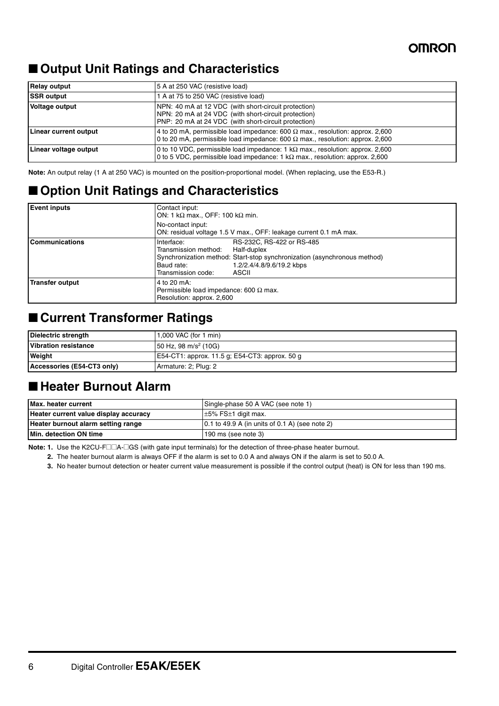## ■ Output Unit Ratings and Characteristics

| <b>Relay output</b>          | 5 A at 250 VAC (resistive load)                                                                                                                                              |
|------------------------------|------------------------------------------------------------------------------------------------------------------------------------------------------------------------------|
| <b>SSR output</b>            | 1 A at 75 to 250 VAC (resistive load)                                                                                                                                        |
| <b>Voltage output</b>        | NPN: 40 mA at 12 VDC (with short-circuit protection)<br>NPN: 20 mA at 24 VDC (with short-circuit protection)<br>PNP: 20 mA at 24 VDC (with short-circuit protection)         |
| <b>Linear current output</b> | 4 to 20 mA, permissible load impedance: 600 $\Omega$ max., resolution: approx. 2,600<br>0 to 20 mA, permissible load impedance: 600 $\Omega$ max., resolution: approx. 2,600 |
| Linear voltage output        | 0 to 10 VDC, permissible load impedance: $1 k\Omega$ max., resolution: approx. 2,600<br>0 to 5 VDC, permissible load impedance: 1 k $\Omega$ max., resolution: approx. 2,600 |

**Note:** An output relay (1 A at 250 VAC) is mounted on the position-proportional model. (When replacing, use the E53-R.)

## ■ **Option Unit Ratings and Characteristics**

| <b>Event inputs</b>    | Contact input:<br>ON: 1 k $\Omega$ max., OFF: 100 k $\Omega$ min.<br>No-contact input:<br>ON: residual voltage 1.5 V max., OFF: leakage current 0.1 mA max.                                                                          |  |  |  |
|------------------------|--------------------------------------------------------------------------------------------------------------------------------------------------------------------------------------------------------------------------------------|--|--|--|
| <b>Communications</b>  | RS-232C, RS-422 or RS-485<br>Interface:<br>Transmission method:<br>Half-duplex<br>Synchronization method: Start-stop synchronization (asynchronous method)<br>1.2/2.4/4.8/9.6/19.2 kbps<br>Baud rate:<br>Transmission code:<br>ASCII |  |  |  |
| <b>Transfer output</b> | 4 to 20 mA:<br>Permissible load impedance: 600 $\Omega$ max.<br>Resolution: approx. 2,600                                                                                                                                            |  |  |  |

## ■ **Current Transformer Ratings**

| Dielectric strength         | 1.000 VAC (for 1 min)                          |  |
|-----------------------------|------------------------------------------------|--|
| <b>Vibration resistance</b> | 50 Hz, 98 m/s <sup>2</sup> (10G)               |  |
| <b>Weight</b>               | E54-CT1: approx. 11.5 g; E54-CT3: approx. 50 g |  |
| Accessories (E54-CT3 only)  | <b>Armature: 2; Plug: 2</b>                    |  |

## ■ **Heater Burnout Alarm**

| Max. heater current                   | Single-phase 50 A VAC (see note 1)                     |
|---------------------------------------|--------------------------------------------------------|
| Heater current value display accuracy | $±5\%$ FS $±1$ digit max.                              |
| Heater burnout alarm setting range    | $\vert$ 0.1 to 49.9 A (in units of 0.1 A) (see note 2) |
| Min. detection ON time                | $190 \text{ ms}$ (see note 3)                          |

**Note: 1.** Use the K2CU-F□□A-□GS (with gate input terminals) for the detection of three-phase heater burnout.

**2.** The heater burnout alarm is always OFF if the alarm is set to 0.0 A and always ON if the alarm is set to 50.0 A.

**3.** No heater burnout detection or heater current value measurement is possible if the control output (heat) is ON for less than 190 ms.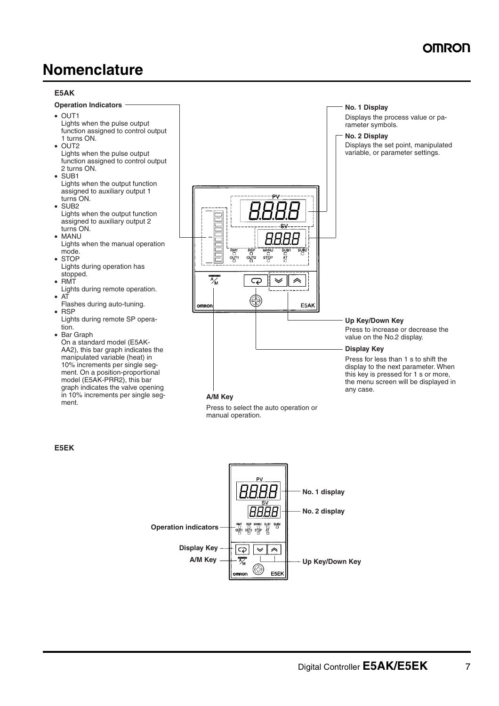## OMDO

## **Nomenclature**

#### **E5AK**

#### **Operation Indicators**

- OUT1 Lights when the pulse output function assigned to control output
- 1 turns ON. • OUT2 Lights when the pulse output function assigned to control output 2 turns ON.
- SUB1 Lights when the output function assigned to auxiliary output 1 turns ON.
- SUB2 Lights when the output function assigned to auxiliary output 2 turns ON.
- MANU Lights when the manual operation mode.
- STOP Lights during operation has stopped.
- RMT
- Lights during remote operation.  $\bullet$  AT
- Flashes during auto-tuning. • RSP
- Lights during remote SP operation.
- Bar Graph On a standard model (E5AK-AA2), this bar graph indicates the manipulated variable (heat) in 10% increments per single segment. On a position-proportional model (E5AK-PRR2), this bar graph indicates the valve opening in 10% increments per single seg-



Press to select the auto operation or manual operation.

**E5EK**

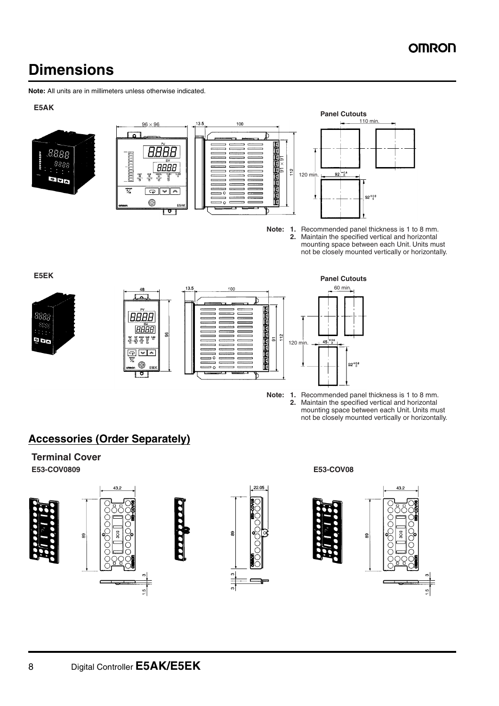# <span id="page-7-0"></span>**Dimensions**

**Note:** All units are in millimeters unless otherwise indicated.

#### **E5AK**





**Note: 1.** Recommended panel thickness is 1 to 8 mm. **2.** Maintain the specified vertical and horizontal mounting space between each Unit. Units must not be closely mounted vertically or horizontally.

 $92^{+0.8}$ 

110 min.

**Panel Cutouts**

 $92^{+0.8}_{+0.6}$ 

**E5EK**









## **Accessories (Order Separately)**

**Terminal Cover E53-COV0809 E53-COV08**



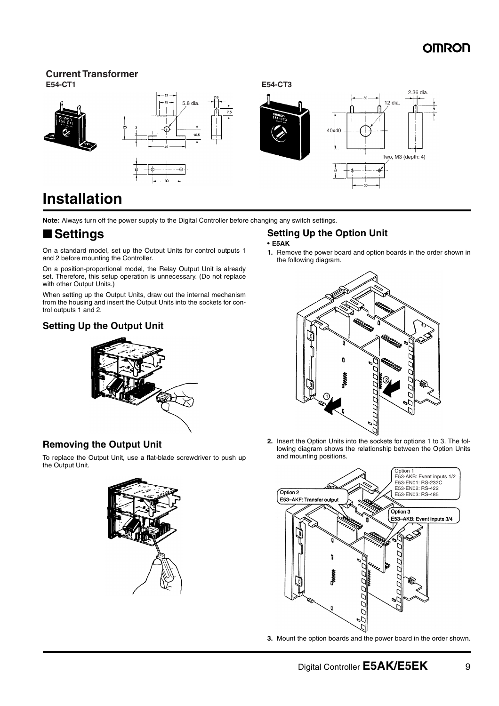# **Current Transformer**



# **Installation**

**Note:** Always turn off the power supply to the Digital Controller before changing any switch settings.

## <span id="page-8-0"></span>■ **Settings**

the Output Unit.

On a standard model, set up the Output Units for control outputs 1 and 2 before mounting the Controller.

On a position-proportional model, the Relay Output Unit is already set. Therefore, this setup operation is unnecessary. (Do not replace with other Output Units.)

When setting up the Output Units, draw out the internal mechanism from the housing and insert the Output Units into the sockets for control outputs 1 and 2.

## **Setting Up the Output Unit**



## **Setting Up the Option Unit**

#### **• E5AK**

**1.** Remove the power board and option boards in the order shown in the following diagram.



**2.** Insert the Option Units into the sockets for options 1 to 3. The following diagram shows the relationship between the Option Units and mounting positions.



**3.** Mount the option boards and the power board in the order shown.

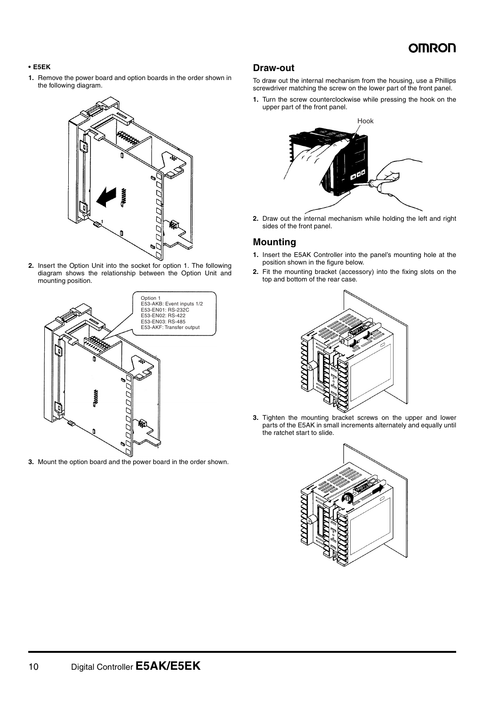#### **• E5EK**

**1.** Remove the power board and option boards in the order shown in the following diagram.



**2.** Insert the Option Unit into the socket for option 1. The following diagram shows the relationship between the Option Unit and mounting position.



**3.** Mount the option board and the power board in the order shown.

#### **Draw-out**

To draw out the internal mechanism from the housing, use a Phillips screwdriver matching the screw on the lower part of the front panel.

**1.** Turn the screw counterclockwise while pressing the hook on the upper part of the front panel.



**2.** Draw out the internal mechanism while holding the left and right sides of the front panel.

#### **Mounting**

- **1.** Insert the E5AK Controller into the panel's mounting hole at the position shown in the figure below.
- **2.** Fit the mounting bracket (accessory) into the fixing slots on the top and bottom of the rear case.



**3.** Tighten the mounting bracket screws on the upper and lower parts of the E5AK in small increments alternately and equally until the ratchet start to slide.

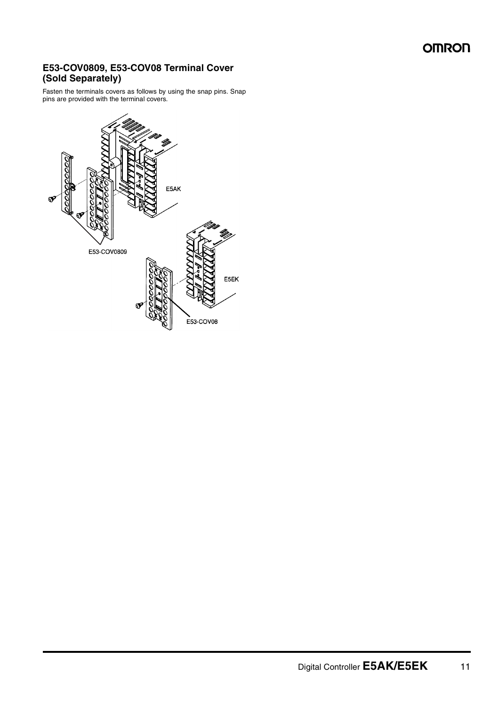#### **E53-COV0809, E53-COV08 Terminal Cover (Sold Separately)**

Fasten the terminals covers as follows by using the snap pins. Snap pins are provided with the terminal covers.

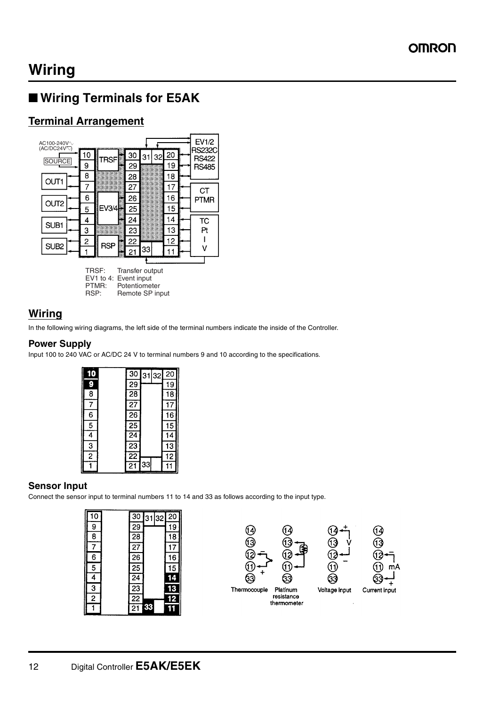# **Wiring**

## ■ **Wiring Terminals for E5AK**

## **Terminal Arrangement**



## **Wiring**

In the following wiring diagrams, the left side of the terminal numbers indicate the inside of the Controller.

## **Power Supply**

Input 100 to 240 VAC or AC/DC 24 V to terminal numbers 9 and 10 according to the specifications.

| 10                      | 30              | 3132 | 20               |
|-------------------------|-----------------|------|------------------|
| 9                       | $\overline{29}$ |      | 19               |
| $\overline{\mathbf{8}}$ | $\overline{28}$ |      | $\overline{18}$  |
| $\overline{7}$          | $\overline{27}$ |      | 17               |
| 6                       | $\overline{26}$ |      | 16               |
| 5                       | $\overline{25}$ |      | 15               |
| 4                       | $\overline{24}$ |      | $\overline{1}$ 4 |
| 3                       | 23              |      | 13               |
| $\overline{2}$          | $\overline{22}$ |      | $\overline{12}$  |
|                         | $\overline{21}$ | 33   |                  |

## **Sensor Input**

Connect the sensor input to terminal numbers 11 to 14 and 33 as follows according to the input type.

| 10             | $\overline{30}$            | 3132 | 20              |
|----------------|----------------------------|------|-----------------|
| 9              | 29                         |      | 19              |
| 8              | $\overline{28}$            |      | $\overline{18}$ |
| 7              | 27                         |      | 17              |
| $\overline{6}$ | $\overline{26}$            |      | $\overline{16}$ |
| $\overline{5}$ | 25                         |      | 15              |
| 4              | $\overline{2}\overline{4}$ |      | 14              |
| $\overline{3}$ | $\overline{23}$            |      | $\overline{13}$ |
| $\overline{2}$ | $\overline{22}$            |      | $\overline{12}$ |
|                | $\overline{21}$            | 33   |                 |

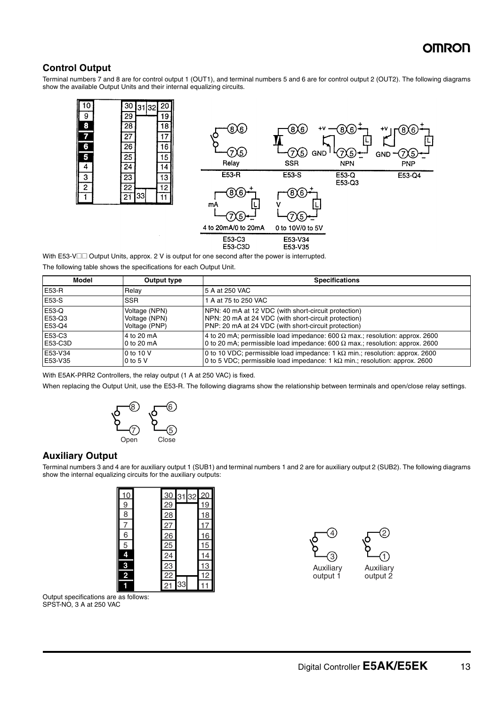## **Control Output**

Terminal numbers 7 and 8 are for control output 1 (OUT1), and terminal numbers 5 and 6 are for control output 2 (OUT2). The following diagrams show the available Output Units and their internal equalizing circuits.



With E53-V $\Box$  Output Units, approx. 2 V is output for one second after the power is interrupted.

The following table shows the specifications for each Output Unit.

| Model         | Output type   | <b>Specifications</b>                                                                |
|---------------|---------------|--------------------------------------------------------------------------------------|
| <b>E53-R</b>  | Relay         | 5 A at 250 VAC                                                                       |
| E53-S         | <b>SSR</b>    | 1 A at 75 to 250 VAC                                                                 |
| E53-Q         | Voltage (NPN) | NPN: 40 mA at 12 VDC (with short-circuit protection)                                 |
| E53-Q3        | Voltage (NPN) | NPN: 20 mA at 24 VDC (with short-circuit protection)                                 |
| <b>E53-Q4</b> | Voltage (PNP) | PNP: 20 mA at 24 VDC (with short-circuit protection)                                 |
| E53-C3        | 4 to 20 mA    | 4 to 20 mA; permissible load impedance: 600 $\Omega$ max.; resolution: approx. 2600  |
| E53-C3D       | 0 to 20 $mA$  | 0 to 20 mA; permissible load impedance: 600 $\Omega$ max.; resolution: approx. 2600  |
| E53-V34       | 0 to 10 V     | 0 to 10 VDC; permissible load impedance: 1 k $\Omega$ min.; resolution: approx. 2600 |
| E53-V35       | 0 to 5 $V$    | 0 to 5 VDC; permissible load impedance: 1 k $\Omega$ min.; resolution: approx. 2600  |

With E5AK-PRR2 Controllers, the relay output (1 A at 250 VAC) is fixed.

When replacing the Output Unit, use the E53-R. The following diagrams show the relationship between terminals and open/close relay settings.



### **Auxiliary Output**

Terminal numbers 3 and 4 are for auxiliary output 1 (SUB1) and terminal numbers 1 and 2 are for auxiliary output 2 (SUB2). The following diagrams show the internal equalizing circuits for the auxiliary outputs:

| 10             | 3               | 31 | 32 | 20        |
|----------------|-----------------|----|----|-----------|
| $\overline{9}$ | $\overline{29}$ |    |    | <u>19</u> |
| 8              | 28              |    |    | 18        |
| 7              | <u>27</u>       |    |    |           |
| 6              | $\frac{26}{5}$  |    |    | 16        |
| 5              | 25              |    |    | 15        |
| 4              | $\overline{24}$ |    |    | 4         |
| 3              | $\overline{23}$ |    |    | 13        |
| 2              | $\overline{22}$ |    |    | 12        |
|                |                 | 33 |    |           |

Output specifications are as follows: SPST-NO, 3 A at 250 VAC



1 Auxiliary output 2

2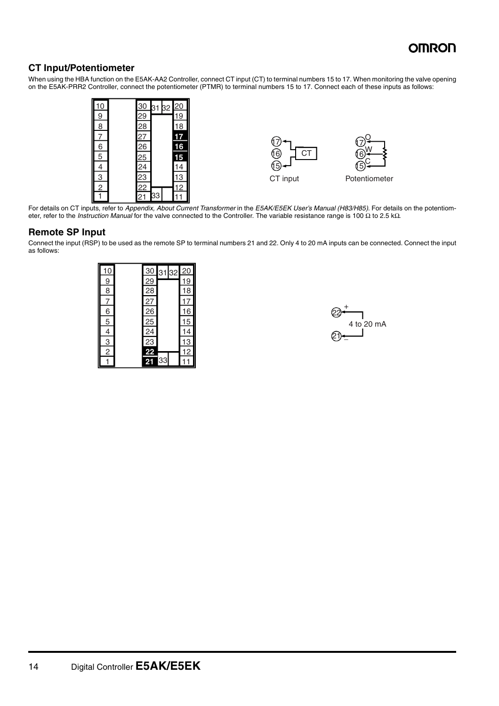### **CT Input/Potentiometer**

When using the HBA function on the E5AK-AA2 Controller, connect CT input (CT) to terminal numbers 15 to 17. When monitoring the valve opening on the E5AK-PRR2 Controller, connect the potentiometer (PTMR) to terminal numbers 15 to 17. Connect each of these inputs as follows:







For details on CT inputs, refer to *Appendix, About Current Transformer* in the *E5AK/E5EK User's Manual (H83/H85)*. For details on the potentiometer, refer to the *Instruction Manual* for the valve connected to the Controller. The variable resistance range is 100 Ω to 2.5 kΩ.

#### **Remote SP Input**

Connect the input (RSP) to be used as the remote SP to terminal numbers 21 and 22. Only 4 to 20 mA inputs can be connected. Connect the input as follows:

| 10             | 30              | 3132 | 20 |
|----------------|-----------------|------|----|
| <u>9</u>       | 29              |      | 19 |
| $\overline{8}$ | $\overline{28}$ |      | 18 |
| 7              | 27              |      | 7  |
| 6              | $\overline{26}$ |      | 16 |
| $\overline{5}$ | $\frac{25}{24}$ |      | 15 |
| 4              |                 |      | 4  |
| $\overline{3}$ | $\overline{23}$ |      | 13 |
| $\overline{2}$ | $\overline{22}$ |      | 12 |
|                | 21              | 33   |    |

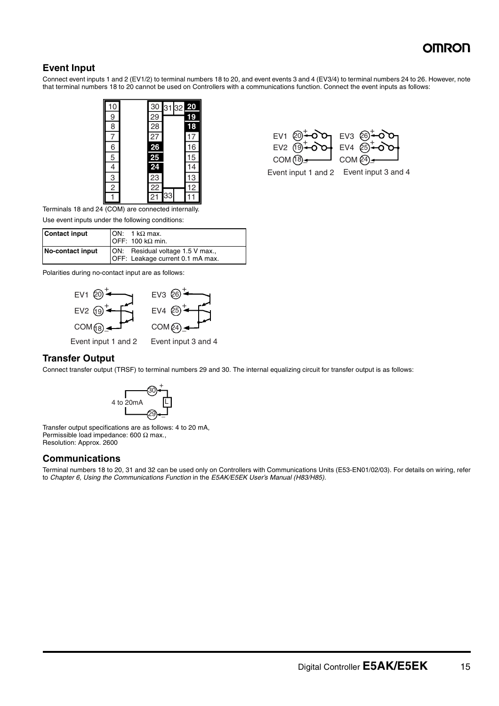## **Event Input**

Connect event inputs 1 and 2 (EV1/2) to terminal numbers 18 to 20, and event events 3 and 4 (EV3/4) to terminal numbers 24 to 26. However, note that terminal numbers 18 to 20 cannot be used on Controllers with a communications function. Connect the event inputs as follows:



Terminals 18 and 24 (COM) are connected internally.

Use event inputs under the following conditions:

| Contact input    | $ON: 1 k\Omega$ max.<br>$IOFF: 100 k\Omega$ min.                     |
|------------------|----------------------------------------------------------------------|
| No-contact input | ON: Residual voltage 1.5 V max.,<br>OFF: Leakage current 0.1 mA max. |

Polarities during no-contact input are as follows:



## **Transfer Output**

Connect transfer output (TRSF) to terminal numbers 29 and 30. The internal equalizing circuit for transfer output is as follows:



Transfer output specifications are as follows: 4 to 20 mA, Permissible load impedance: 600 Ω max., Resolution: Approx. 2600

#### **Communications**

Terminal numbers 18 to 20, 31 and 32 can be used only on Controllers with Communications Units (E53-EN01/02/03). For details on wiring, refer to *Chapter 6, Using the Communications Function* in the *E5AK/E5EK User's Manual (H83/H85)*.



Event input 1 and 2 Event input 3 and 4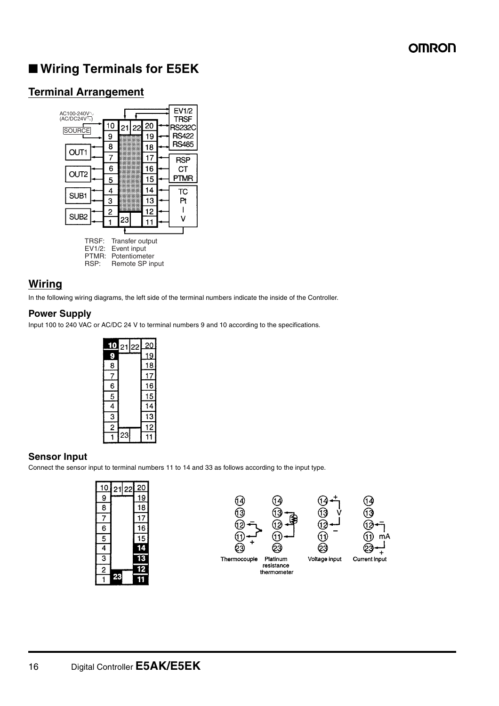## ■ **Wiring Terminals for E5EK**

## **Terminal Arrangement**



## **Wiring**

In the following wiring diagrams, the left side of the terminal numbers indicate the inside of the Controller.

#### **Power Supply**

Input 100 to 240 VAC or AC/DC 24 V to terminal numbers 9 and 10 according to the specifications.

| 10             | 2122 | 20              |
|----------------|------|-----------------|
| 9              |      | 19              |
| $\overline{8}$ |      | 18              |
| 7              |      | 17              |
| 6              |      | 16              |
| $\overline{5}$ |      | 15              |
| $\overline{4}$ |      | $\overline{14}$ |
| $\overline{3}$ |      | 13              |
| $\overline{2}$ |      | 12              |
|                | 23   |                 |

## **Sensor Input**

Connect the sensor input to terminal numbers 11 to 14 and 33 as follows according to the input type.



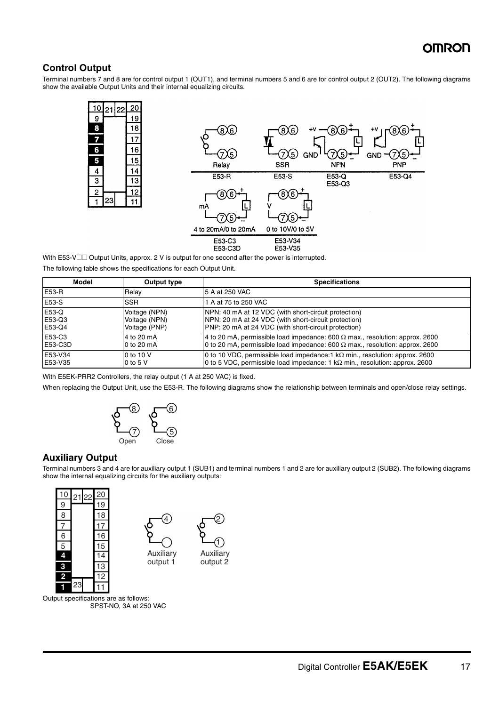## **Control Output**

Terminal numbers 7 and 8 are for control output 1 (OUT1), and terminal numbers 5 and 6 are for control output 2 (OUT2). The following diagrams show the available Output Units and their internal equalizing circuits.



With E53-V $\square \square$  Output Units, approx. 2 V is output for one second after the power is interrupted.

The following table shows the specifications for each Output Unit.

| Model         | Output type   | <b>Specifications</b>                                                               |
|---------------|---------------|-------------------------------------------------------------------------------------|
| E53-R         | Relav         | 5 A at 250 VAC                                                                      |
| <b>E53-S</b>  | <b>SSR</b>    | 1 A at 75 to 250 VAC                                                                |
| <b>E53-Q</b>  | Voltage (NPN) | NPN: 40 mA at 12 VDC (with short-circuit protection)                                |
| <b>E53-Q3</b> | Voltage (NPN) | NPN: 20 mA at 24 VDC (with short-circuit protection)                                |
| E53-Q4        | Voltage (PNP) | PNP: 20 mA at 24 VDC (with short-circuit protection)                                |
| E53-C3        | 4 to 20 mA    | 4 to 20 mA, permissible load impedance: 600 $\Omega$ max., resolution: approx. 2600 |
| E53-C3D       | 0 to 20 $mA$  | 0 to 20 mA, permissible load impedance: 600 $\Omega$ max., resolution: approx. 2600 |
| E53-V34       | 0 to 10 V     | 0 to 10 VDC, permissible load impedance: $1 k\Omega$ min., resolution: approx. 2600 |
| E53-V35       | $0$ to $5$ V  | 0 to 5 VDC, permissible load impedance: 1 $k\Omega$ min., resolution: approx. 2600  |

With E5EK-PRR2 Controllers, the relay output (1 A at 250 VAC) is fixed.

When replacing the Output Unit, use the E53-R. The following diagrams show the relationship between terminals and open/close relay settings.



#### **Auxiliary Output**

Terminal numbers 3 and 4 are for auxiliary output 1 (SUB1) and terminal numbers 1 and 2 are for auxiliary output 2 (SUB2). The following diagrams show the internal equalizing circuits for the auxiliary outputs:



Output specifications are as follows: SPST-NO, 3A at 250 VAC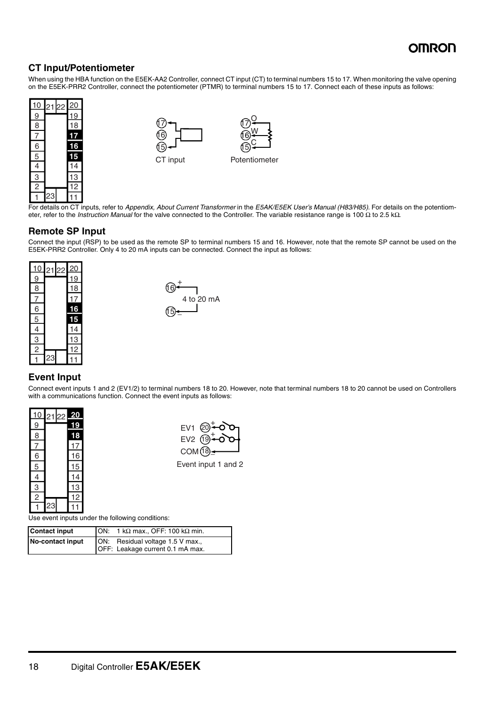

#### **CT Input/Potentiometer**

When using the HBA function on the E5EK-AA2 Controller, connect CT input (CT) to terminal numbers 15 to 17. When monitoring the valve opening on the E5EK-PRR2 Controller, connect the potentiometer (PTMR) to terminal numbers 15 to 17. Connect each of these inputs as follows:







CT input Potentiometer

For details on CT inputs, refer to *Appendix, About Current Transformer* in the *E5AK/E5EK User's Manual (H83/H85)*. For details on the potentiometer, refer to the *Instruction Manual* for the valve connected to the Controller. The variable resistance range is 100 Ω to 2.5 kΩ.

#### **Remote SP Input**

Connect the input (RSP) to be used as the remote SP to terminal numbers 15 and 16. However, note that the remote SP cannot be used on the E5EK-PRR2 Controller. Only 4 to 20 mA inputs can be connected. Connect the input as follows:





## **Event Input**

Connect event inputs 1 and 2 (EV1/2) to terminal numbers 18 to 20. However, note that terminal numbers 18 to 20 cannot be used on Controllers with a communications function. Connect the event inputs as follows:

| 10             | $\overline{21}$ | 22 | 20        |
|----------------|-----------------|----|-----------|
| $\overline{9}$ |                 |    | 19        |
| 8              |                 |    | 18        |
| $\overline{z}$ |                 |    | <u>17</u> |
| 6              |                 |    | 16        |
| 5              |                 |    | 15        |
| $\frac{4}{1}$  |                 |    | 14        |
| 3              |                 |    | 13        |
| $\overline{2}$ |                 |    | 12        |
|                | 23              |    |           |



Event input 1 and 2

Use event inputs under the following conditions:

| <b>Contact input</b> | ON: 1 k $\Omega$ max., OFF: 100 k $\Omega$ min. |
|----------------------|-------------------------------------------------|
| No-contact input     | ON: Residual voltage 1.5 V max.,                |
|                      | OFF: Leakage current 0.1 mA max.                |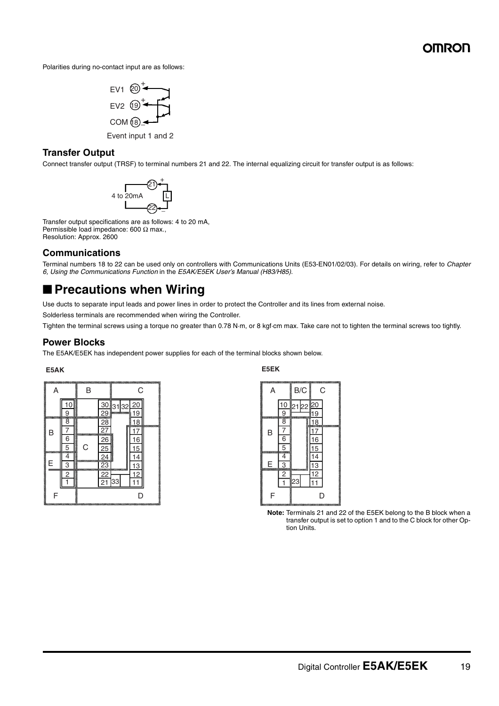Polarities during no-contact input are as follows:



### **Transfer Output**

Connect transfer output (TRSF) to terminal numbers 21 and 22. The internal equalizing circuit for transfer output is as follows:



Transfer output specifications are as follows: 4 to 20 mA, Permissible load impedance: 600 Ω max., Resolution: Approx. 2600

#### **Communications**

Terminal numbers 18 to 22 can be used only on controllers with Communications Units (E53-EN01/02/03). For details on wiring, refer to *Chapter 6, Using the Communications Function* in the *E5AK/E5EK User's Manual (H83/H85)*.

## ■ **Precautions when Wiring**

Use ducts to separate input leads and power lines in order to protect the Controller and its lines from external noise.

Solderless terminals are recommended when wiring the Controller.

Tighten the terminal screws using a torque no greater than 0.78 N·m, or 8 kgf·cm max. Take care not to tighten the terminal screws too tightly.

#### **Power Blocks**

The E5AK/E5EK has independent power supplies for each of the terminal blocks shown below.

#### **E5AK E5EK**

|   |                    | B                        |         |    | С |  |
|---|--------------------|--------------------------|---------|----|---|--|
|   |                    |                          | З<br>29 |    |   |  |
|   | ง<br>8             |                          | 28      |    | 8 |  |
| В | 6                  |                          |         |    | 6 |  |
|   | $\frac{5}{2}$<br>w | See See Se<br>С          |         |    | 5 |  |
|   |                    | amman T                  |         |    |   |  |
| F | З                  |                          | 23      |    | 3 |  |
|   |                    | <b>PERSONAL PROPERTY</b> |         |    |   |  |
|   |                    |                          |         | 33 |   |  |
| F |                    | 2000000000               |         |    | D |  |



**Note:** Terminals 21 and 22 of the E5EK belong to the B block when a transfer output is set to option 1 and to the C block for other Option Units.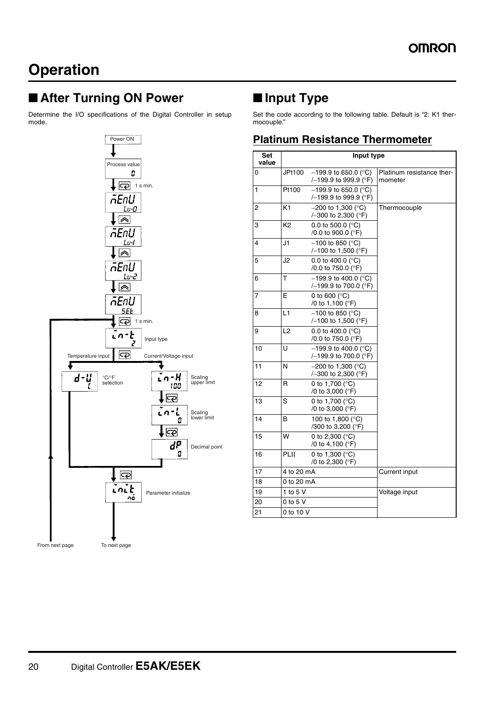## ■ After Turning ON Power

Determine the I/O specifications of the Digital Controller in setup mode.



## ■ **Input Type**

Set the code according to the following table. Default is "2: K1 thermocouple."

## **POWER ON PLATINUM Resistance Thermometer**

| Set<br>value | Input type     |                                                            |                                      |  |
|--------------|----------------|------------------------------------------------------------|--------------------------------------|--|
| 0            | JPt100         | $-199.9$ to 650.0 (°C)<br>/-199.9 to 999.9 (°F)            | Platinum resistance ther-<br>mometer |  |
| 1            | Pt100          | $-199.9$ to 650.0 ( $^{\circ}$ C)<br>/-199.9 to 999.9 (°F) |                                      |  |
| 2            | K1             | $-200$ to 1,300 ( $^{\circ}$ C)<br>/-300 to 2,300 (°F)     | Thermocouple                         |  |
| 3            | K <sub>2</sub> | 0.0 to 500.0 (°C)<br>/0.0 to 900.0 (°F)                    |                                      |  |
| 4            | J1             | $-100$ to 850 (°C)<br>$/-100$ to 1,500 ( $\degree$ F)      |                                      |  |
| 5            | J2             | 0.0 to 400.0 ( $^{\circ}$ C)<br>/0.0 to 750.0 (°F)         |                                      |  |
| 6            | T              | $-199.9$ to 400.0 (°C)<br>/-199.9 to 700.0 (°F)            |                                      |  |
| 7            | E              | 0 to 600 ( $^{\circ}$ C)<br>/0 to 1,100 (°F)               |                                      |  |
| 8            | L1             | $-100$ to 850 (°C)<br>$/-100$ to 1,500 ( $\degree$ F)      |                                      |  |
| 9            | L2             | 0.0 to 400.0 (°C)<br>/0.0 to 750.0 (°F)                    |                                      |  |
| 10           | Ù              | $-199.9$ to 400.0 (°C)<br>$/-199.9$ to 700.0 ( $°F$ )      |                                      |  |
| 11           | N              | $-200$ to 1,300 (°C)<br>/-300 to 2,300 ( $\degree$ F)      |                                      |  |
| 12           | R              | 0 to 1,700 (°C)<br>/0 to 3,000 (°F)                        |                                      |  |
| 13           | S              | 0 to 1,700 (°C)<br>/0 to 3,000 (°F)                        |                                      |  |
| 14           | В              | 100 to 1,800 (°C)<br>/300 to 3,200 (°F)                    |                                      |  |
| 15           | w              | 0 to 2,300 (°C)<br>/0 to 4,100 (°F)                        |                                      |  |
| 16           | PLII           | 0 to 1,300 (°C)<br>/0 to 2,300 (°F)                        |                                      |  |
| 17           | 4 to 20 mA     |                                                            | Current input                        |  |
| 18           | 0 to 20 mA     |                                                            |                                      |  |
| 19           | 1 to 5 V       |                                                            | Voltage input                        |  |
| 20           | $0$ to $5$ V   |                                                            |                                      |  |
| 21           | 0 to 10 V      |                                                            |                                      |  |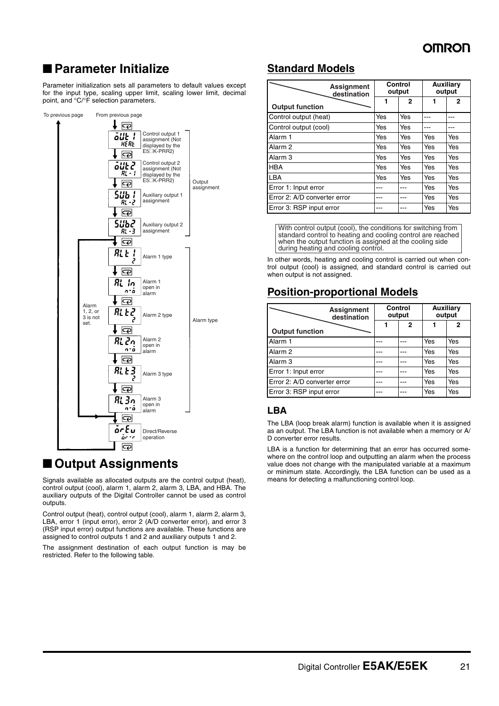## ■ **Parameter Initialize**

Parameter initialization sets all parameters to default values except for the input type, scaling upper limit, scaling lower limit, decimal point, and °C/°F selection parameters.



## ■ Output Assignments

Signals available as allocated outputs are the control output (heat), control output (cool), alarm 1, alarm 2, alarm 3, LBA, and HBA. The auxiliary outputs of the Digital Controller cannot be used as control outputs.

Control output (heat), control output (cool), alarm 1, alarm 2, alarm 3, LBA, error 1 (input error), error 2 (A/D converter error), and error 3 (RSP input error) output functions are available. These functions are assigned to control outputs 1 and 2 and auxiliary outputs 1 and 2.

The assignment destination of each output function is may be restricted. Refer to the following table.

## **Standard Models**

| <b>Assignment</b><br>destination | Control<br>output |              | <b>Auxiliary</b><br>output |              |
|----------------------------------|-------------------|--------------|----------------------------|--------------|
| <b>Output function</b>           |                   | $\mathbf{2}$ |                            | $\mathbf{2}$ |
| Control output (heat)            | Yes               | Yes          |                            |              |
| Control output (cool)            | Yes               | Yes          |                            |              |
| Alarm 1                          | Yes               | Yes          | Yes                        | Yes          |
| Alarm 2                          | Yes               | Yes          | Yes                        | Yes          |
| Alarm <sub>3</sub>               | Yes               | Yes          | Yes                        | Yes          |
| <b>HBA</b>                       | Yes               | Yes          | Yes                        | Yes          |
| <b>LBA</b>                       | Yes               | Yes          | Yes                        | Yes          |
| Error 1: Input error             |                   |              | Yes                        | Yes          |
| Error 2: A/D converter error     |                   |              | Yes                        | Yes          |
| Error 3: RSP input error         |                   |              | Yes                        | Yes          |

With control output (cool), the conditions for switching from standard control to heating and cooling control are reached when the output function is assigned at the cooling side during heating and cooling control.

In other words, heating and cooling control is carried out when control output (cool) is assigned, and standard control is carried out when output is not assigned.

## **Position-proportional Models**

| <b>Assignment</b><br>destination | Control<br>output |   | <b>Auxiliary</b><br>output |     |
|----------------------------------|-------------------|---|----------------------------|-----|
| <b>Output function</b>           |                   | 2 |                            | 2   |
| Alarm 1                          |                   |   | Yes                        | Yes |
| Alarm <sub>2</sub>               |                   |   | Yes                        | Yes |
| Alarm 3                          |                   |   | Yes                        | Yes |
| Error 1: Input error             |                   |   | Yes                        | Yes |
| Error 2: A/D converter error     |                   |   | Yes                        | Yes |
| Error 3: RSP input error         |                   |   | Yes                        | Yes |

#### **LBA**

The LBA (loop break alarm) function is available when it is assigned as an output. The LBA function is not available when a memory or A/ D converter error results.

LBA is a function for determining that an error has occurred somewhere on the control loop and outputting an alarm when the process value does not change with the manipulated variable at a maximum or minimum state. Accordingly, the LBA function can be used as a means for detecting a malfunctioning control loop.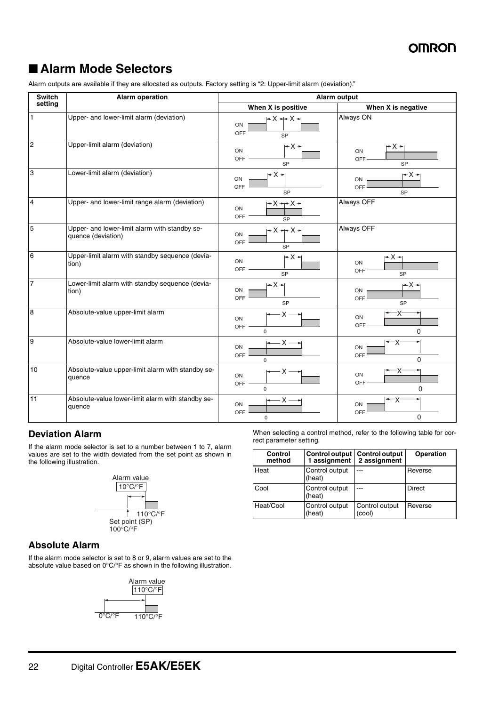## ■ **Alarm Mode Selectors**

Alarm outputs are available if they are allocated as outputs. Factory setting is "2: Upper-limit alarm (deviation)."

| <b>Switch</b>  | <b>Alarm operation</b>                                              |                                                                 | Alarm output                    |
|----------------|---------------------------------------------------------------------|-----------------------------------------------------------------|---------------------------------|
| setting        |                                                                     | When X is positive                                              | When X is negative              |
| 1              | Upper- and lower-limit alarm (deviation)                            | $-X \rightarrow -X \rightarrow$<br>ON<br>OFF<br><b>SP</b>       | Always ON                       |
| $\overline{c}$ | Upper-limit alarm (deviation)                                       | $-X+$<br>ON<br><b>OFF</b><br><b>SP</b>                          | r≁X ≁i<br>ON<br>OFF-<br>SP      |
| 3              | Lower-limit alarm (deviation)                                       | ← X →<br>ON<br>OFF<br>SP                                        | r∸X →<br>ON<br>OFF<br><b>SP</b> |
| $\overline{4}$ | Upper- and lower-limit range alarm (deviation)                      | $+X+X+$<br>ON<br><b>OFF</b><br>$\overline{\text{SP}}$           | Always OFF                      |
| 5              | Upper- and lower-limit alarm with standby se-<br>quence (deviation) | $+X + X +$<br>ON<br>OFF<br><b>SP</b>                            | Always OFF                      |
| 6              | Upper-limit alarm with standby sequence (devia-<br>tion)            | ⊢X →<br>ON<br><b>OFF</b><br><b>SP</b>                           | r∸X →<br>ON<br>OFF<br><b>SP</b> |
| $\overline{7}$ | Lower-limit alarm with standby sequence (devia-<br>tion)            | ⊩× ∗<br>ON<br>OFF<br><b>SP</b>                                  | r≁X →<br>ON<br>OFF<br><b>SP</b> |
| $\bf8$         | Absolute-value upper-limit alarm                                    | $-x \longrightarrow$<br>ON<br><b>OFF</b><br>$\Omega$            | X<br>ON<br>OFF-<br>$\Omega$     |
| 9              | Absolute-value lower-limit alarm                                    | $\rightarrow -x$<br>ON<br>OFF<br>$\Omega$                       | —x∙<br>ON<br>OFF<br>$\Omega$    |
| 10             | Absolute-value upper-limit alarm with standby se-<br>quence         | $\frac{1}{1+x}$ $x \rightarrow$<br>ON<br><b>OFF</b><br>$\Omega$ | X.<br>ON<br>OFF<br>$\Omega$     |
| 11             | Absolute-value lower-limit alarm with standby se-<br>quence         | $-x -$<br>ON<br>OFF<br>0                                        | —x∙<br>ON<br>OFF<br>$\mathbf 0$ |

## **Deviation Alarm**

If the alarm mode selector is set to a number between 1 to 7, alarm values are set to the width deviated from the set point as shown in the following illustration.



When selecting a control method, refer to the following table for correct parameter setting.

| Control<br>method | Control output<br>1 assignment | <b>Control output</b><br>2 assignment | <b>Operation</b> |
|-------------------|--------------------------------|---------------------------------------|------------------|
| Heat              | Control output<br>(heat)       |                                       | Reverse          |
| Cool              | Control output<br>(heat)       |                                       | <b>Direct</b>    |
| Heat/Cool         | Control output<br>(heat)       | Control output<br>(cool)              | Reverse          |

#### **Absolute Alarm**

If the alarm mode selector is set to 8 or 9, alarm values are set to the absolute value based on 0°C/°F as shown in the following illustration.

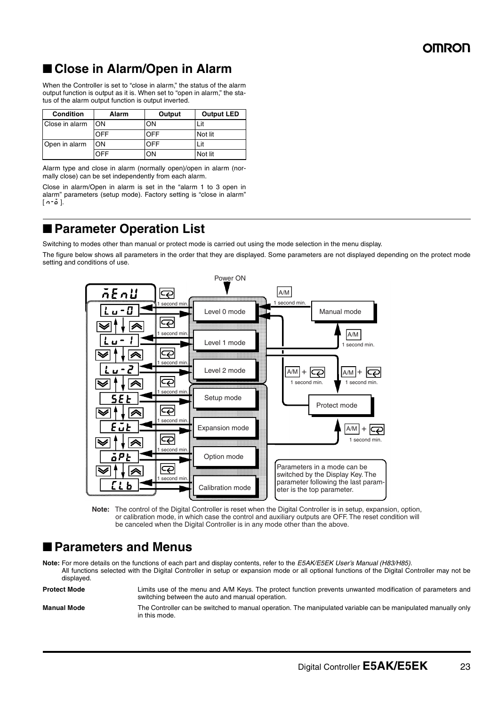## ■ **Close in Alarm/Open in Alarm**

When the Controller is set to "close in alarm," the status of the alarm output function is output as it is. When set to "open in alarm," the status of the alarm output function is output inverted.

| <b>Condition</b> | Alarm      | Output     | <b>Output LED</b> |
|------------------|------------|------------|-------------------|
| Close in alarm   | ON         | OΝ         | Lit               |
|                  | <b>OFF</b> | <b>OFF</b> | Not lit           |
| Open in alarm    | ON         | OFF        | Lit               |
|                  | ∩FF        | λN         | Not lit           |

Alarm type and close in alarm (normally open)/open in alarm (normally close) can be set independently from each alarm.

Close in alarm/Open in alarm is set in the "alarm 1 to 3 open in alarm" parameters (setup mode). Factory setting is "close in alarm"  $[n-$ o].

## ■ **Parameter Operation List**

Switching to modes other than manual or protect mode is carried out using the mode selection in the menu display.

The figure below shows all parameters in the order that they are displayed. Some parameters are not displayed depending on the protect mode setting and conditions of use.



**Note:** The control of the Digital Controller is reset when the Digital Controller is in setup, expansion, option, or calibration mode, in which case the control and auxiliary outputs are OFF. The reset condition will be canceled when the Digital Controller is in any mode other than the above.

## ■ **Parameters and Menus**

**Note:** For more details on the functions of each part and display contents, refer to the *E5AK/E5EK User's Manual (H83/H85)*. All functions selected with the Digital Controller in setup or expansion mode or all optional functions of the Digital Controller may not be displayed.

| <b>Protect Mode</b> | Limits use of the menu and A/M Keys. The protect function prevents unwanted modification of parameters and<br>switching between the auto and manual operation. |
|---------------------|----------------------------------------------------------------------------------------------------------------------------------------------------------------|
| <b>Manual Mode</b>  | The Controller can be switched to manual operation. The manipulated variable can be manipulated manually only<br>in this mode.                                 |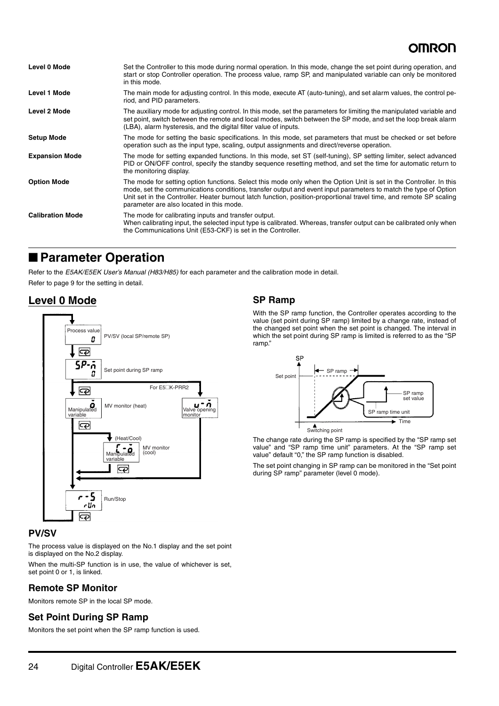| Level 0 Mode            | Set the Controller to this mode during normal operation. In this mode, change the set point during operation, and<br>start or stop Controller operation. The process value, ramp SP, and manipulated variable can only be monitored<br>in this mode.                                                                                                                                                      |
|-------------------------|-----------------------------------------------------------------------------------------------------------------------------------------------------------------------------------------------------------------------------------------------------------------------------------------------------------------------------------------------------------------------------------------------------------|
| Level 1 Mode            | The main mode for adjusting control. In this mode, execute AT (auto-tuning), and set alarm values, the control pe-<br>riod, and PID parameters.                                                                                                                                                                                                                                                           |
| Level 2 Mode            | The auxiliary mode for adjusting control. In this mode, set the parameters for limiting the manipulated variable and<br>set point, switch between the remote and local modes, switch between the SP mode, and set the loop break alarm<br>(LBA), alarm hysteresis, and the digital filter value of inputs.                                                                                                |
| <b>Setup Mode</b>       | The mode for setting the basic specifications. In this mode, set parameters that must be checked or set before<br>operation such as the input type, scaling, output assignments and direct/reverse operation.                                                                                                                                                                                             |
| <b>Expansion Mode</b>   | The mode for setting expanded functions. In this mode, set ST (self-tuning), SP setting limiter, select advanced<br>PID or ON/OFF control, specify the standby sequence resetting method, and set the time for automatic return to<br>the monitoring display.                                                                                                                                             |
| <b>Option Mode</b>      | The mode for setting option functions. Select this mode only when the Option Unit is set in the Controller. In this<br>mode, set the communications conditions, transfer output and event input parameters to match the type of Option<br>Unit set in the Controller. Heater burnout latch function, position-proportional travel time, and remote SP scaling<br>parameter are also located in this mode. |
| <b>Calibration Mode</b> | The mode for calibrating inputs and transfer output.<br>When calibrating input, the selected input type is calibrated. Whereas, transfer output can be calibrated only when<br>the Communications Unit (E53-CKF) is set in the Controller.                                                                                                                                                                |

## ■ **Parameter Operation**

Refer to the *E5AK/E5EK User's Manual (H83/H85)* for each parameter and the calibration mode in detail.

Refer to [page 9](#page-8-0) for the setting in detail.

## **Level 0 Mode**



#### **PV/SV**

The process value is displayed on the No.1 display and the set point is displayed on the No.2 display.

When the multi-SP function is in use, the value of whichever is set, set point 0 or 1, is linked.

#### **Remote SP Monitor**

Monitors remote SP in the local SP mode.

## **Set Point During SP Ramp**

Monitors the set point when the SP ramp function is used.

## **SP Ramp**

With the SP ramp function, the Controller operates according to the value (set point during SP ramp) limited by a change rate, instead of the changed set point when the set point is changed. The interval in which the set point during SP ramp is limited is referred to as the "SP ramp."



The change rate during the SP ramp is specified by the "SP ramp set value" and "SP ramp time unit" parameters. At the "SP ramp set value" default "0," the SP ramp function is disabled.

The set point changing in SP ramp can be monitored in the "Set point during SP ramp" parameter (level 0 mode).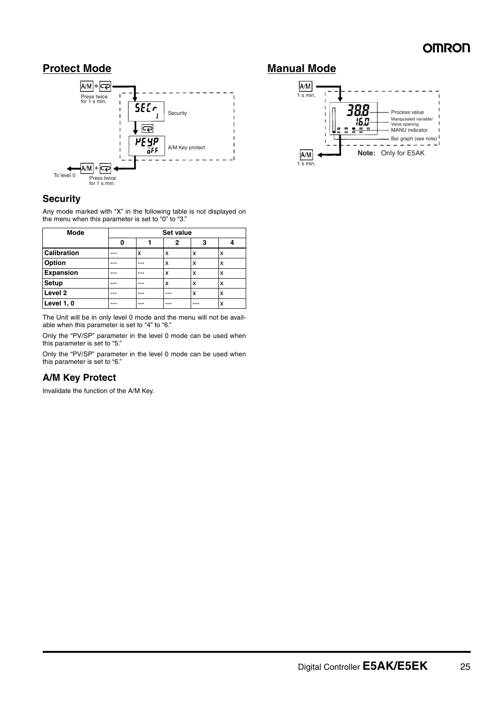## OMRC

## **Protect Mode**



### **Security**

Any mode marked with "X" in the following table is not displayed on the menu when this parameter is set to "0" to "3."

| Mode               |   | <b>Set value</b> |   |   |   |  |  |
|--------------------|---|------------------|---|---|---|--|--|
|                    | ŋ |                  | 2 | 3 |   |  |  |
| <b>Calibration</b> |   | x                | x | x | X |  |  |
| <b>Option</b>      |   |                  | x | x | X |  |  |
| <b>Expansion</b>   |   |                  | x | x | X |  |  |
| <b>Setup</b>       |   |                  | x | x | X |  |  |
| Level <sub>2</sub> |   |                  |   | x | X |  |  |
| Level 1, 0         |   |                  |   |   | X |  |  |

The Unit will be in only level 0 mode and the menu will not be available when this parameter is set to "4" to "6."

Only the "PV/SP" parameter in the level 0 mode can be used when this parameter is set to "5."

Only the "PV/SP" parameter in the level 0 mode can be used when this parameter is set to "6."

## **A/M Key Protect**

Invalidate the function of the A/M Key.

**Manual Mode**

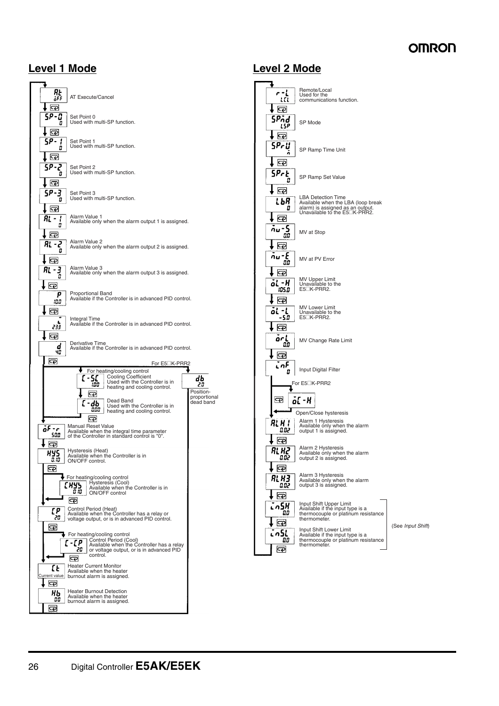## **Level 1 Mode Level 2 Mode**



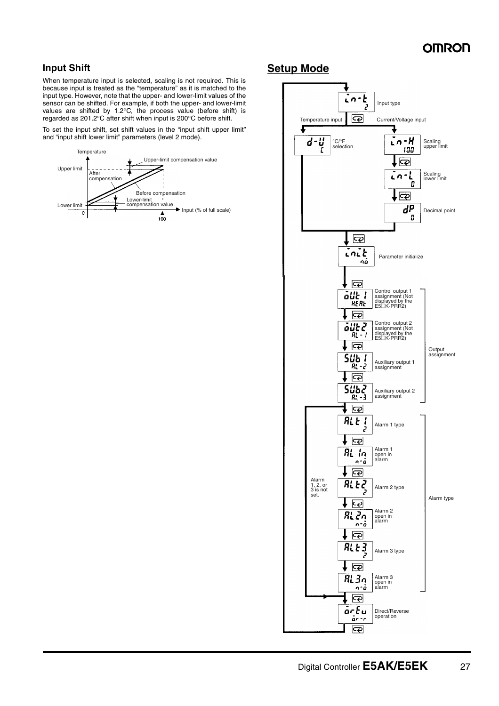### **Input Shift**

When temperature input is selected, scaling is not required. This is because input is treated as the "temperature" as it is matched to the input type. However, note that the upper- and lower-limit values of the sensor can be shifted. For example, if both the upper- and lower-limit values are shifted by 1.2°C, the process value (before shift) is regarded as 201.2°C after shift when input is 200°C before shift.

To set the input shift, set shift values in the "input shift upper limit" and "input shift lower limit" parameters (level 2 mode).



## **Setup Mode**

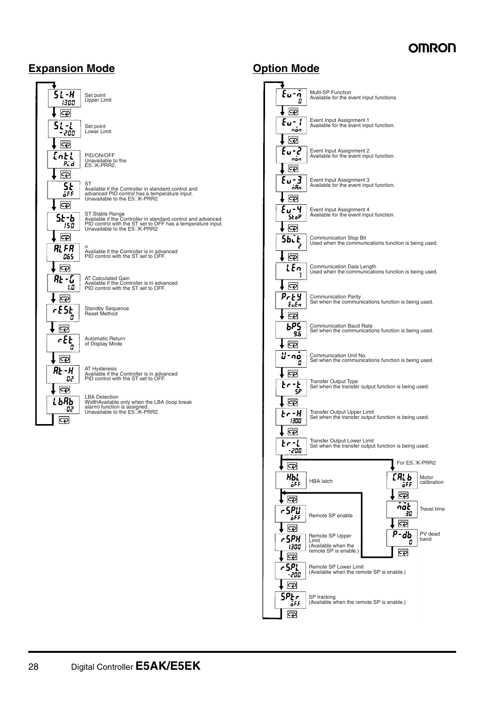## **Expansion Mode CONSIDER STATES CONSIDERED ATTACKS**



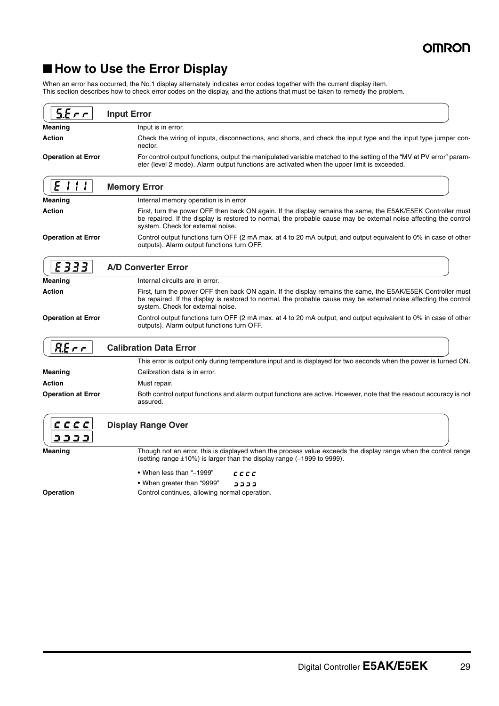## ■ **How to Use the Error Display**

When an error has occurred, the No.1 display alternately indicates error codes together with the current display item. This section describes how to check error codes on the display, and the actions that must be taken to remedy the problem.

| $5.5 - c$                 | <b>Input Error</b>                                                                                                                                                                                                                                                     |
|---------------------------|------------------------------------------------------------------------------------------------------------------------------------------------------------------------------------------------------------------------------------------------------------------------|
| <b>Meaning</b>            | Input is in error.                                                                                                                                                                                                                                                     |
| <b>Action</b>             | Check the wiring of inputs, disconnections, and shorts, and check the input type and the input type jumper con-<br>nector.                                                                                                                                             |
| <b>Operation at Error</b> | For control output functions, output the manipulated variable matched to the setting of the "MV at PV error" param-<br>eter (level 2 mode). Alarm output functions are activated when the upper limit is exceeded.                                                     |
|                           | <b>Memory Error</b>                                                                                                                                                                                                                                                    |
| <b>Meaning</b>            | Internal memory operation is in error                                                                                                                                                                                                                                  |
| <b>Action</b>             | First, turn the power OFF then back ON again. If the display remains the same, the E5AK/E5EK Controller must<br>be repaired. If the display is restored to normal, the probable cause may be external noise affecting the control<br>system. Check for external noise. |

| <b>Operation at Error</b> | Control output functions turn OFF (2 mA max. at 4 to 20 mA output, and output equivalent to 0% in case of other |
|---------------------------|-----------------------------------------------------------------------------------------------------------------|
|                           | outputs). Alarm output functions turn OFF.                                                                      |

| E 3 3 3 1                 | <b>A/D Converter Error</b>                                                                                                                                                                                                                                             |
|---------------------------|------------------------------------------------------------------------------------------------------------------------------------------------------------------------------------------------------------------------------------------------------------------------|
| <b>Meaning</b>            | Internal circuits are in error.                                                                                                                                                                                                                                        |
| Action                    | First, turn the power OFF then back ON again. If the display remains the same, the E5AK/E5EK Controller must<br>be repaired. If the display is restored to normal, the probable cause may be external noise affecting the control<br>system. Check for external noise. |
| <b>Operation at Error</b> | Control output functions turn OFF (2 mA max. at 4 to 20 mA output, and output equivalent to 0% in case of other<br>outputs). Alarm output functions turn OFF.                                                                                                          |

| $R.E-c$<br><b>Calibration Data Error</b> |                                                                                                                                 |  |  |  |  |  |
|------------------------------------------|---------------------------------------------------------------------------------------------------------------------------------|--|--|--|--|--|
|                                          | This error is output only during temperature input and is displayed for two seconds when the power is turned ON.                |  |  |  |  |  |
| Meaning                                  | Calibration data is in error.                                                                                                   |  |  |  |  |  |
| Action                                   | Must repair.                                                                                                                    |  |  |  |  |  |
| <b>Operation at Error</b>                | Both control output functions and alarm output functions are active. However, note that the readout accuracy is not<br>assured. |  |  |  |  |  |

| <i>CCCC</i><br>בבב | <b>Display Range Over</b>                                                                                                                                                                       |                |  |  |
|--------------------|-------------------------------------------------------------------------------------------------------------------------------------------------------------------------------------------------|----------------|--|--|
| <b>Meaning</b>     | Though not an error, this is displayed when the process value exceeds the display range when the control range<br>(setting range $\pm 10\%$ ) is larger than the display range (-1999 to 9999). |                |  |  |
|                    | • When less than " $-1999$ "                                                                                                                                                                    | $\epsilon$ eee |  |  |
|                    | • When greater than "9999"                                                                                                                                                                      | בכבב           |  |  |

**•** When greater than "9999"

**Operation Control continues, allowing normal operation.**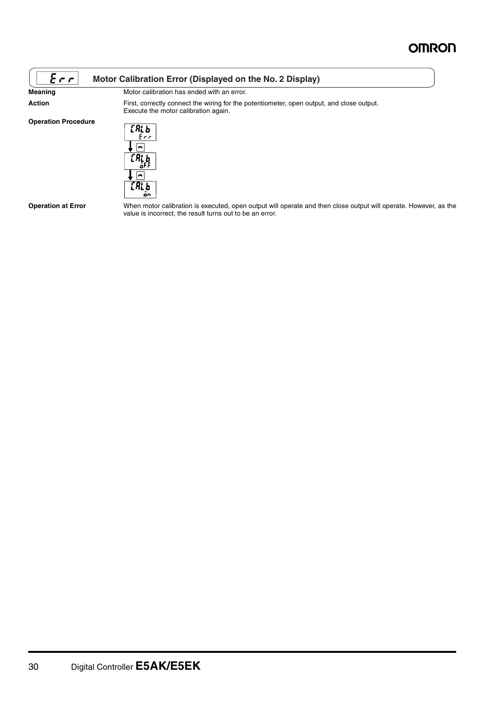#### $E \cap \Gamma$ **Motor Calibration Error (Displayed on the No. 2 Display)**

**Operation Procedure**

**Meaning** Motor calibration has ended with an error.

Action **First, correctly connect the wiring for the potentiometer, open output, and close output.** Execute the motor calibration again.



**Operation at Error** When motor calibration is executed, open output will operate and then close output will operate. However, as the value is incorrect, the result turns out to be an error.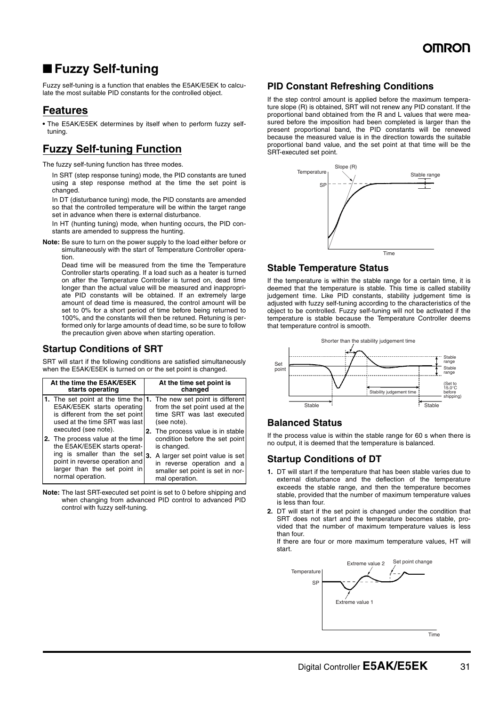## ■ **Fuzzy Self-tuning**

Fuzzy self-tuning is a function that enables the E5AK/E5EK to calculate the most suitable PID constants for the controlled object.

## **Features**

**•** The E5AK/E5EK determines by itself when to perform fuzzy selftuning.

## **Fuzzy Self-tuning Function**

The fuzzy self-tuning function has three modes.

In SRT (step response tuning) mode, the PID constants are tuned using a step response method at the time the set point is changed.

In DT (disturbance tuning) mode, the PID constants are amended so that the controlled temperature will be within the target range set in advance when there is external disturbance.

In HT (hunting tuning) mode, when hunting occurs, the PID constants are amended to suppress the hunting.

**Note:** Be sure to turn on the power supply to the load either before or simultaneously with the start of Temperature Controller operation.

Dead time will be measured from the time the Temperature Controller starts operating. If a load such as a heater is turned on after the Temperature Controller is turned on, dead time longer than the actual value will be measured and inappropriate PID constants will be obtained. If an extremely large amount of dead time is measured, the control amount will be set to 0% for a short period of time before being returned to 100%, and the constants will then be retuned. Retuning is performed only for large amounts of dead time, so be sure to follow the precaution given above when starting operation.

### **Startup Conditions of SRT**

SRT will start if the following conditions are satisfied simultaneously when the E5AK/E5EK is turned on or the set point is changed.

| At the time the E5AK/E5EK<br>starts operating |                                                                                                                                                                                                                                                           | At the time set point is<br>changed |                                                                                    |
|-----------------------------------------------|-----------------------------------------------------------------------------------------------------------------------------------------------------------------------------------------------------------------------------------------------------------|-------------------------------------|------------------------------------------------------------------------------------|
|                                               | 1. The set point at the time the 1. The new set point is different<br>E5AK/E5EK starts operating<br>is different from the set point<br>used at the time SRT was last                                                                                      |                                     | from the set point used at the<br>time SRT was last executed<br>(see note).        |
|                                               | executed (see note).<br><b>2.</b> The process value at the time<br>the E5AK/E5EK starts operat-<br>ing is smaller than the set  3. A larger set point value is set<br>point in reverse operation and<br>larger than the set point in<br>normal operation. |                                     | 2. The process value is in stable<br>condition before the set point<br>is changed. |
|                                               |                                                                                                                                                                                                                                                           |                                     | in reverse operation and a<br>smaller set point is set in nor-<br>mal operation.   |

**Note:** The last SRT-executed set point is set to 0 before shipping and when changing from advanced PID control to advanced PID control with fuzzy self-tuning.

#### **PID Constant Refreshing Conditions**

If the step control amount is applied before the maximum temperature slope (R) is obtained, SRT will not renew any PID constant. If the proportional band obtained from the R and L values that were measured before the imposition had been completed is larger than the present proportional band, the PID constants will be renewed because the measured value is in the direction towards the suitable proportional band value, and the set point at that time will be the SRT-executed set point.



#### **Stable Temperature Status**

If the temperature is within the stable range for a certain time, it is deemed that the temperature is stable. This time is called stability judgement time. Like PID constants, stability judgement time is adjusted with fuzzy self-tuning according to the characteristics of the object to be controlled. Fuzzy self-tuning will not be activated if the temperature is stable because the Temperature Controller deems that temperature control is smooth.



#### **Balanced Status**

If the process value is within the stable range for 60 s when there is no output, it is deemed that the temperature is balanced.

## **Startup Conditions of DT**

- **1.** DT will start if the temperature that has been stable varies due to external disturbance and the deflection of the temperature exceeds the stable range, and then the temperature becomes stable, provided that the number of maximum temperature values is less than four.
- **2.** DT will start if the set point is changed under the condition that SRT does not start and the temperature becomes stable, provided that the number of maximum temperature values is less than four.

If there are four or more maximum temperature values, HT will start.

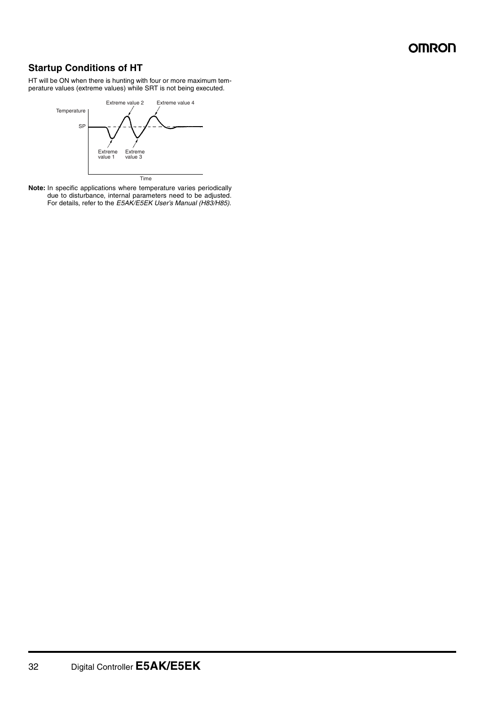## **Startup Conditions of HT**

HT will be ON when there is hunting with four or more maximum temperature values (extreme values) while SRT is not being executed.



**Note:** In specific applications where temperature varies periodically due to disturbance, internal parameters need to be adjusted. For details, refer to the *E5AK/E5EK User's Manual (H83/H85)*.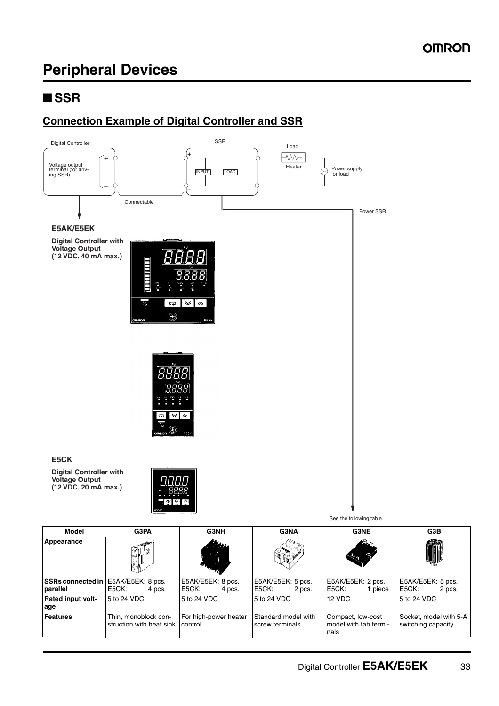# **Peripheral Devices**

## ■ **SSR**

## **Connection Example of Digital Controller and SSR**



| Appearance                                      | ١.<br>揚<br>ピ                                     |                                      | $\sqrt{\frac{1}{1-\epsilon}}$          |                                                    |                                              |
|-------------------------------------------------|--------------------------------------------------|--------------------------------------|----------------------------------------|----------------------------------------------------|----------------------------------------------|
| SSRs connected in E5AK/E5EK: 8 pcs.<br>parallel | E5CK:<br>4 pcs.                                  | E5AK/E5EK: 8 pcs.<br>E5CK:<br>4 pcs. | E5AK/E5EK: 5 pcs.<br>E5CK:<br>2 pcs.   | E5AK/E5EK: 2 pcs.<br>E5CK:<br>1 piece              | E5AK/E5EK: 5 pcs.<br>E5CK:<br>2 pcs.         |
| Rated input volt-<br>age                        | 5 to 24 VDC                                      | 5 to 24 VDC                          | 5 to 24 VDC                            | 12 VDC                                             | 5 to 24 VDC                                  |
| Features                                        | Thin, monoblock con-<br>struction with heat sink | For high-power heater<br>control     | Standard model with<br>screw terminals | Compact, low-cost<br>model with tab termi-<br>nals | Socket, model with 5-A<br>switching capacity |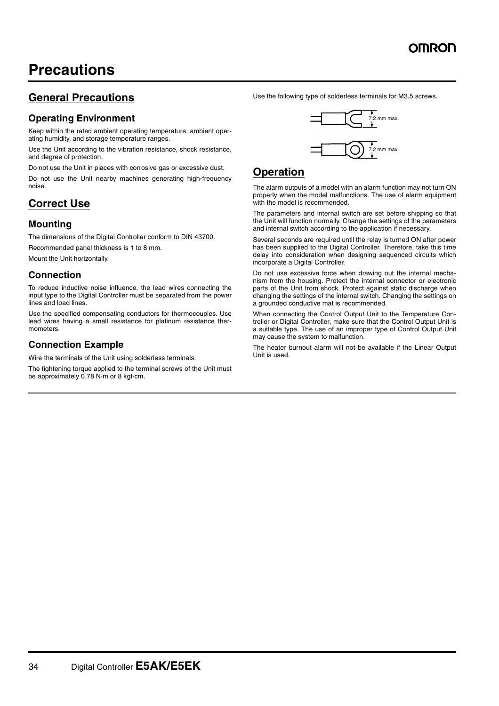## **Precautions**

## **General Precautions**

### **Operating Environment**

Keep within the rated ambient operating temperature, ambient operating humidity, and storage temperature ranges.

Use the Unit according to the vibration resistance, shock resistance, and degree of protection.

Do not use the Unit in places with corrosive gas or excessive dust.

Do not use the Unit nearby machines generating high-frequency noise.

## **Correct Use**

### **Mounting**

The dimensions of the Digital Controller conform to DIN 43700.

Recommended panel thickness is 1 to 8 mm.

Mount the Unit horizontally.

## **Connection**

To reduce inductive noise influence, the lead wires connecting the input type to the Digital Controller must be separated from the power lines and load lines.

Use the specified compensating conductors for thermocouples. Use lead wires having a small resistance for platinum resistance thermometers.

## **Connection Example**

Wire the terminals of the Unit using solderless terminals.

The tightening torque applied to the terminal screws of the Unit must be approximately 0.78 N·m or 8 kgf·cm.

Use the following type of solderless terminals for M3.5 screws.



## **Operation**

The alarm outputs of a model with an alarm function may not turn ON properly when the model malfunctions. The use of alarm equipment with the model is recommended.

The parameters and internal switch are set before shipping so that the Unit will function normally. Change the settings of the parameters and internal switch according to the application if necessary.

Several seconds are required until the relay is turned ON after power has been supplied to the Digital Controller. Therefore, take this time delay into consideration when designing sequenced circuits which incorporate a Digital Controller.

Do not use excessive force when drawing out the internal mechanism from the housing. Protect the internal connector or electronic parts of the Unit from shock. Protect against static discharge when changing the settings of the internal switch. Changing the settings on a grounded conductive mat is recommended.

When connecting the Control Output Unit to the Temperature Controller or Digital Controller, make sure that the Control Output Unit is a suitable type. The use of an improper type of Control Output Unit may cause the system to malfunction.

The heater burnout alarm will not be available if the Linear Output Unit is used.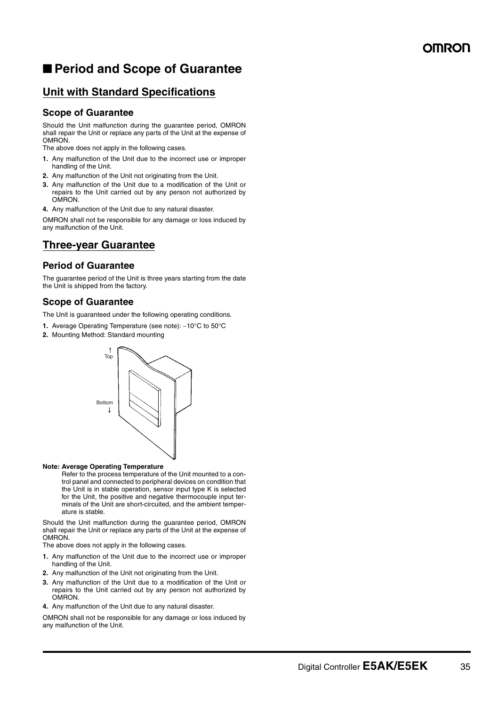## ■ **Period and Scope of Guarantee**

## **Unit with Standard Specifications**

#### **Scope of Guarantee**

Should the Unit malfunction during the guarantee period, OMRON shall repair the Unit or replace any parts of the Unit at the expense of OMRON.

The above does not apply in the following cases.

- **1.** Any malfunction of the Unit due to the incorrect use or improper handling of the Unit.
- **2.** Any malfunction of the Unit not originating from the Unit.
- **3.** Any malfunction of the Unit due to a modification of the Unit or repairs to the Unit carried out by any person not authorized by OMRON.
- **4.** Any malfunction of the Unit due to any natural disaster.

OMRON shall not be responsible for any damage or loss induced by any malfunction of the Unit.

## **Three-year Guarantee**

#### **Period of Guarantee**

The guarantee period of the Unit is three years starting from the date the Unit is shipped from the factory.

### **Scope of Guarantee**

The Unit is guaranteed under the following operating conditions.

- 1. Average Operating Temperature (see note): -10°C to 50°C
- **2.** Mounting Method: Standard mounting



#### **Note: Average Operating Temperature**

Refer to the process temperature of the Unit mounted to a control panel and connected to peripheral devices on condition that the Unit is in stable operation, sensor input type K is selected for the Unit, the positive and negative thermocouple input terminals of the Unit are short-circuited, and the ambient temperature is stable.

Should the Unit malfunction during the guarantee period, OMRON shall repair the Unit or replace any parts of the Unit at the expense of OMRON.

The above does not apply in the following cases.

- **1.** Any malfunction of the Unit due to the incorrect use or improper handling of the Unit.
- **2.** Any malfunction of the Unit not originating from the Unit.
- **3.** Any malfunction of the Unit due to a modification of the Unit or repairs to the Unit carried out by any person not authorized by OMRON.
- **4.** Any malfunction of the Unit due to any natural disaster.

OMRON shall not be responsible for any damage or loss induced by any malfunction of the Unit.